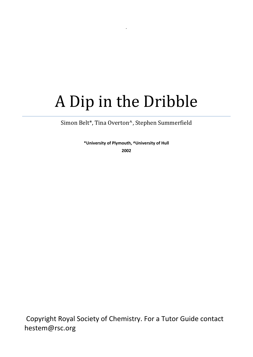# A Dip in the Dribble

.

Simon Belt\*, Tina Overton^, Stephen Summerfield

**\*University of Plymouth, ^University of Hull 2002**

Copyright Royal Society of Chemistry. For a Tutor Guide contact hestem@rsc.org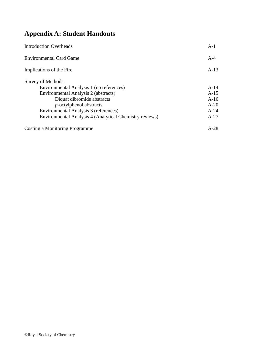# **Appendix A: Student Handouts**

| <b>Introduction Overheads</b>                           | $A-1$  |
|---------------------------------------------------------|--------|
| <b>Environmental Card Game</b>                          | $A-4$  |
| Implications of the Fire                                | $A-13$ |
| <b>Survey of Methods</b>                                |        |
| Environmental Analysis 1 (no references)                | $A-14$ |
| Environmental Analysis 2 (abstracts)                    | $A-15$ |
| Diquat dibromide abstracts                              | $A-16$ |
| <i>p</i> -octylphenol abstracts                         | $A-20$ |
| Environmental Analysis 3 (references)                   | $A-24$ |
| Environmental Analysis 4 (Analytical Chemistry reviews) | $A-27$ |
| Costing a Monitoring Programme                          | $A-28$ |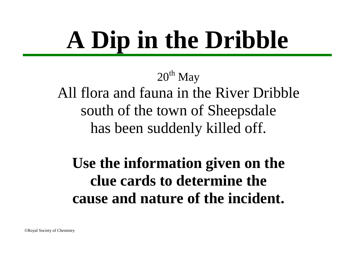# **A Dip in the Dribble**

 $20<sup>th</sup>$  May

All flora and fauna in the River Dribble south of the town of Sheepsdale has been suddenly killed off.

**Use the information given on the clue cards to determine the cause and nature of the incident.**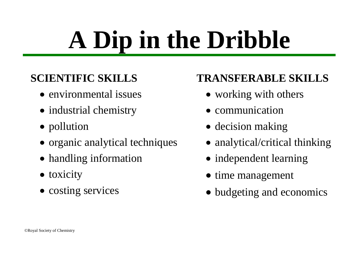# **A Dip in the Dribble**

# **SCIENTIFIC SKILLS**

- environmental issues
- industrial chemistry
- pollution
- organic analytical techniques
- handling information
- toxicity
- costing services

# **TRANSFERABLE SKILLS**

- working with others
- communication
- decision making
- analytical/critical thinking
- independent learning
- time management
- budgeting and economics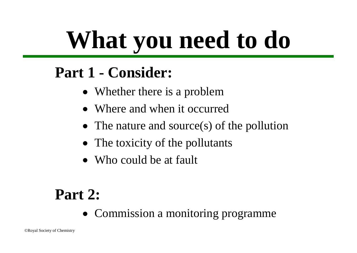# **What you need to do**

# **Part 1 - Consider:**

- Whether there is a problem
- Where and when it occurred
- The nature and source(s) of the pollution
- The toxicity of the pollutants
- Who could be at fault

# **Part 2:**

• Commission a monitoring programme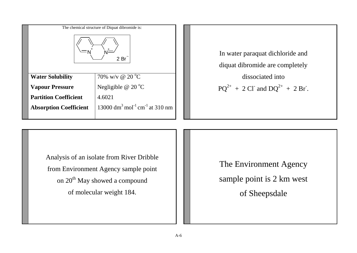| The chemical structure of Diquat dibromide is: |                                                                    |  |                      |
|------------------------------------------------|--------------------------------------------------------------------|--|----------------------|
| 2Br                                            |                                                                    |  | In wate<br>diquat of |
| <b>Water Solubility</b>                        | 70% w/y @ 20 $^{\circ}$ C                                          |  |                      |
| <b>Vapour Pressure</b>                         | Negligible $@$ 20 $°C$                                             |  |                      |
| <b>Partition Coefficient</b><br>4.6021         |                                                                    |  |                      |
| <b>Absorption Coefficient</b>                  | 13000 dm <sup>3</sup> mol <sup>-1</sup> cm <sup>-1</sup> at 310 nm |  |                      |
|                                                |                                                                    |  |                      |

er paraquat dichloride and dibromide are completely dissociated into  $+ 2 \text{CI}$  and  $DQ^{2+} + 2 \text{Br}$ .

Analysis of an isolate from River Dribble from Environment Agency sample point on 20<sup>th</sup> May showed a compound of molecular weight 184.

The Environment Agency sample point is 2 km west of Sheepsdale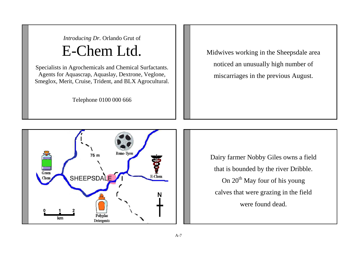*Introducing Dr.* Orlando Grut of E-Chem Ltd.

Specialists in Agrochemicals and Chemical Surfactants. Agents for Aquascrap, Aquaslay, Dextrone, Veglone, Smeglox, Merit, Cruise, Trident, and BLX Agrocultural.

Telephone 0100 000 666

Midwives working in the Sheepsdale area noticed an unusually high number of miscarriages in the previous August.



Dairy farmer Nobby Giles owns a field that is bounded by the river Dribble. On  $20<sup>th</sup>$  May four of his young calves that were grazing in the field were found dead.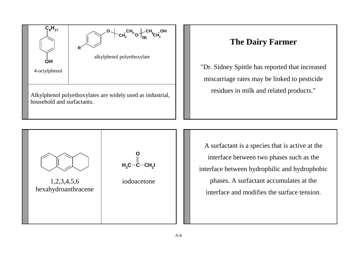

# **The Dairy Farmer**

"Dr. Sidney Spittle has reported that increased miscarriage rates may be linked to pesticide residues in milk and related products."



A surfactant is a species that is active at the interface between two phases such as the interface between hydrophilic and hydrophobic phases. A surfactant accumulates at the interface and modifies the surface tension.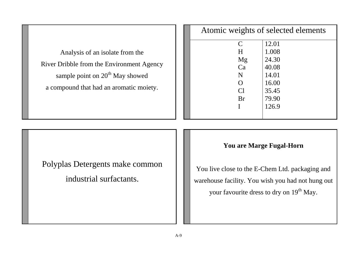| Analysis of an isolate from the             |
|---------------------------------------------|
| River Dribble from the Environment Agency   |
| sample point on 20 <sup>th</sup> May showed |
| a compound that had an aromatic moiety.     |

| Atomic weights of selected elements |       |  |
|-------------------------------------|-------|--|
| C                                   | 12.01 |  |
| H                                   | 1.008 |  |
| Mg                                  | 24.30 |  |
| Ca                                  | 40.08 |  |
| N                                   | 14.01 |  |
| $\Omega$                            | 16.00 |  |
| Cl                                  | 35.45 |  |
| <b>Br</b>                           | 79.90 |  |
|                                     | 126.9 |  |
|                                     |       |  |

Polyplas Detergents make common

industrial surfactants.

## **You are Marge Fugal-Horn**

You live close to the E-Chem Ltd. packaging and warehouse facility. You wish you had not hung out your favourite dress to dry on 19<sup>th</sup> May.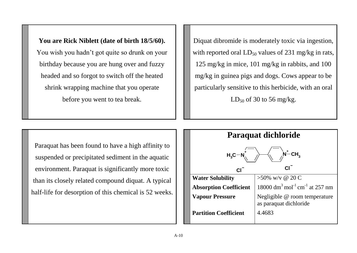## **You are Rick Niblett (date of birth 18/5/60).**

You wish you hadn"t got quite so drunk on your birthday because you are hung over and fuzzy headed and so forgot to switch off the heated shrink wrapping machine that you operate before you went to tea break.

Diquat dibromide is moderately toxic via ingestion, with reported oral  $LD_{50}$  values of 231 mg/kg in rats, 125 mg/kg in mice, 101 mg/kg in rabbits, and 100 mg/kg in guinea pigs and dogs. Cows appear to be particularly sensitive to this herbicide, with an oral  $LD_{50}$  of 30 to 56 mg/kg.

Paraquat has been found to have a high affinity to suspended or precipitated sediment in the aquatic environment. Paraquat is significantly more toxic than its closely related compound diquat. A typical half-life for desorption of this chemical is 52 weeks.

| Paraquat dichloride                                |                                                                    |  |
|----------------------------------------------------|--------------------------------------------------------------------|--|
| $\dot{N}$ <sup>+</sup> CH <sub>3</sub><br>$H_3C-N$ |                                                                    |  |
| <b>CI</b>                                          | CI.                                                                |  |
| <b>Water Solubility</b>                            | $>50\%$ w/y @ 20 C                                                 |  |
| <b>Absorption Coefficient</b>                      | 18000 dm <sup>3</sup> mol <sup>-1</sup> cm <sup>-1</sup> at 257 nm |  |
| <b>Vapour Pressure</b>                             | Negligible @ room temperature<br>as paraquat dichloride            |  |
| <b>Partition Coefficient</b>                       | 4.4683                                                             |  |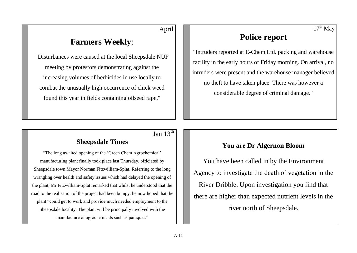## April

# **Farmers Weekly**:

"Disturbances were caused at the local Sheepsdale NUF meeting by protestors demonstrating against the increasing volumes of herbicides in use locally to combat the unusually high occurrence of chick weed found this year in fields containing oilseed rape."

#### $17^{\text{th}}$  May

# **Police report**

"Intruders reported at E-Chem Ltd. packing and warehouse facility in the early hours of Friday morning. On arrival, no intruders were present and the warehouse manager believed no theft to have taken place. There was however a considerable degree of criminal damage."

# Jan  $13^{\text{th}}$

### **Sheepsdale Times**

"The long awaited opening of the "Green Chem Agrochemical" manufacturing plant finally took place last Thursday, officiated by Sheepsdale town Mayor Norman Fitzwilliam-Splat. Referring to the long wrangling over health and safety issues which had delayed the opening of the plant, Mr Fitzwilliam-Splat remarked that whilst he understood that the road to the realisation of the project had been bumpy, he now hoped that the plant "could get to work and provide much needed employment to the Sheepsdale locality. The plant will be principally involved with the manufacture of agrochemicals such as paraquat."

### **You are Dr Algernon Bloom**

You have been called in by the Environment Agency to investigate the death of vegetation in the River Dribble. Upon investigation you find that there are higher than expected nutrient levels in the river north of Sheepsdale.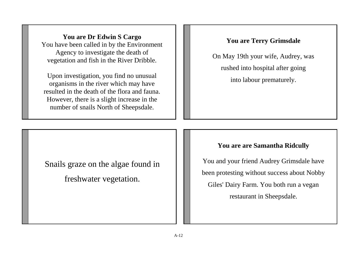**You are Dr Edwin S Cargo** You have been called in by the Environment Agency to investigate the death of vegetation and fish in the River Dribble.

Upon investigation, you find no unusual organisms in the river which may have resulted in the death of the flora and fauna. However, there is a slight increase in the number of snails North of Sheepsdale.

## **You are Terry Grimsdale**

On May 19th your wife, Audrey, was rushed into hospital after going into labour prematurely.

Snails graze on the algae found in freshwater vegetation.

#### **You are are Samantha Ridcully**

You and your friend Audrey Grimsdale have been protesting without success about Nobby Giles' Dairy Farm. You both run a vegan restaurant in Sheepsdale.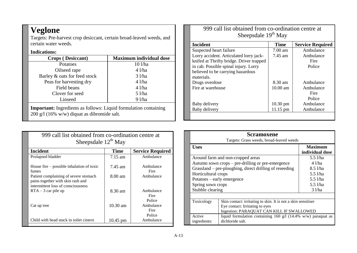# **Veglone**

Targets: Pre-harvest crop desiccant, certain broad-leaved weeds, and certain water weeds.

#### **Indications:**

| <b>Crops</b> (Desiccant)                                                                                                 | <b>Maximum individual dose</b> |  |
|--------------------------------------------------------------------------------------------------------------------------|--------------------------------|--|
| Potatoes                                                                                                                 | $10$ l/ha                      |  |
| Oilseed rape                                                                                                             | $4$ l/ha                       |  |
| Barley & oats for feed stock                                                                                             | $3$ l/ha                       |  |
| Peas for harvesting dry                                                                                                  | $4$ l/ha                       |  |
| Field beans                                                                                                              | $4$ l/ha                       |  |
| Clover for seed                                                                                                          | 5 l/ha                         |  |
| Linseed                                                                                                                  | 91/ha                          |  |
| <b>Important:</b> Ingredients as follows: Liquid formulation containing<br>$200$ g/l (16% w/w) diquat as dibromide salt. |                                |  |

| 999 call list obtained from co-ordination centre at<br>Sheepsdale $12^{th}$ May                                  |                    |                             |
|------------------------------------------------------------------------------------------------------------------|--------------------|-----------------------------|
| <b>Incident</b>                                                                                                  | <b>Time</b>        | <b>Service Required</b>     |
| Prolapsed bladder                                                                                                | $7.15$ am          | Ambulance                   |
| House fire – possible inhalation of toxic<br>fumes                                                               | 7.45 am            | Ambulance<br>Fire           |
| Patient complaining of severe stomach<br>pains together with skin rash and<br>intermittent loss of consciousness | $8.00 \text{ am}$  | Ambulance                   |
| $RTA - 3$ car pile up                                                                                            | 8.30 am            | Ambulance<br>Fire<br>Police |
| Cat up tree                                                                                                      | $10.30 \text{ am}$ | Ambulance<br>Fire<br>Police |
| Child with head stuck in toilet cistern                                                                          | $10.45 \text{ pm}$ | Ambulance                   |

999 call list obtained from co-ordination centre at Sheepsdale 19<sup>th</sup> May **Incident Time Service Required** Suspected heart failure<br>
Lorry accident. Articulated lorry jack-<br>
7.45 am Ambulance Lorry accident. Articulated lorry jackknifed at Thrifty bridge. Driver trapped in cab. Possible spinal injury. Lorry believed to be carrying hazardous materials. Ambulance Fire Police Drugs overdose 8.30 am Ambulance<br>Fire at warehouse 8.30 am Ambulance Fire at warehouse Fire

Baby delivery 11.15 pm Ambulance

Baby delivery  $10.30 \text{ pm}$ 

Police<br>Ambulance

| <b>Scramoxene</b><br>Targets: Grass weeds, broad-leaved weeds                              |                                                                                                                                                                                                                                    |                                                                                    |
|--------------------------------------------------------------------------------------------|------------------------------------------------------------------------------------------------------------------------------------------------------------------------------------------------------------------------------------|------------------------------------------------------------------------------------|
| <b>Uses</b>                                                                                |                                                                                                                                                                                                                                    | <b>Maximum</b><br>individual dose                                                  |
| Horticultural crops<br>Potatoes – early emergence<br>Spring sown crops<br>Stubble clearing | Around farm and non-cropped areas<br>Autumn sown crops – pre-drilling or pre-emergence<br>Grassland - pre-ploughing, direct drilling of reseeding                                                                                  | 5.5 l/ha<br>4 1/ha<br>8.51/ha<br>$5.5$ $1/ha$<br>$5.5$ $1/ha$<br>5.5 l/ha<br>31/ha |
| Toxicology<br>Active<br>ingredients:                                                       | Skin contact: irritating to skin. It is not a skin sensitiser<br>Eye contact: Irritating to eyes<br>Ingestion: PARAQUAT CAN KILL IF SWALLOWED<br>liquid formulation containing 160 g/l (14.4% w/w) paraquat as<br>dichloride salt. |                                                                                    |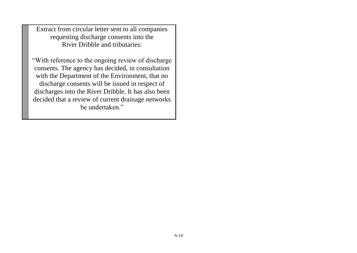Extract from circular letter sent to all companies requesting discharge consents into the River Dribble and tributaries:

"With reference to the ongoing review of discharge consents. The agency has decided, in consultation with the Department of the Environment, that no discharge consents will be issued in respect of discharges into the River Dribble. It has also been decided that a review of current drainage networks be undertaken."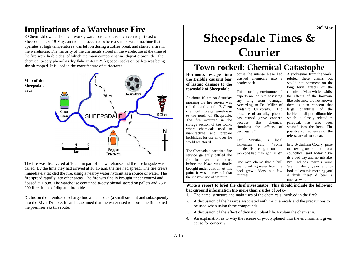# **Implications of a Warehouse Fire**

E Chem Ltd own a chemical works, warehouse and dispatch centre just east of Sheepsdale. On 19 May, an incident occurred where a shrink-wrap machine that operates at high temperatures was left on during a coffee break and started a fire in the warehouse. The majority of the chemicals stored in the warehouse at the time of the fire were herbicides, of which the main component was diquat dibromide. The chemical *p-*octylphenol as dry flake in 40 x 25 kg paper sacks on pallets was being shrink-rapped. It is used in the manufacture of surfactants.



The fire was discovered at 10 am in part of the warehouse and the fire brigade was called. By the time they had arrived at 10:15 a.m. the fire had spread. The fire crews immediately tackled the fire, using a nearby water hydrant as a source of water. The fire spread rapidly into other areas. The fire was finally brought under control and doused at 1 p.m. The warehouse contained *p-*octylphenol stored on pallets and 75 x 200 litre drums of diquat dibromide.

Drains on the premises discharge into a local beck (a small stream) and subsequently into the River Dribble. It can be assumed that the water used to douse the fire exited the premises *via* this route.

# **Sheepsdale Times & Courier**

# **Town rocked: Chemical Catastophe**

This morning environmental experts are on site assessing any long term damage. According to Dr. Miller of Midshire University, "The presence of an alkyl-phenol has caused grave concern because this chemical simulates the affects of

**Hormones escape into the Dribble causing fear of lasting damage to the townsfolk of Sheepsdale** 

At about 10 am on Saturday morning the fire service was called to a fire at the E-Chem chemical storage warehouse to the north of Sheepsdale. The fire occurred in the storage section of the works where chemicals used to manufacture and prepare herbicides for use all over the world are stored.

The Sheepsdale part time fire service gallantly battled the fire for over three hours before the blaze was finally brought under control. At this point it was discovered that the massive use of water to

douse the intense blaze had washed chemicals into a nearby beck

refuted these claims but would not comment on the long term affects of the chemical. Meanwhile, whilst the effects of the hormone like substance are not known, there is also concern that large quantities of the herbicide diquat dibromide. which is closely related to paraquat, has also been washed into the beck. The possible consequences of the release are all too clear.

A spokesman from the works

Paul Smythe, a local fisherman said, "Some female fish caught on the weekend had male genitalia!" One man claims that a bull seen drinking water from the beck grew udders in a few Eric Sydenham Cowry, prize marrow grower, and local councillor, said today "Bye tis a bad day and no mistake. I've ' ad bes' marro's round 'ere for thirty years and to look at ' em this morning you' d think there' d been a nuclear war.

**Write a report to brief the chief investigator. This should include the following background information (no more than 2 sides of A4):-**

1. The name, structure and main uses of the chemicals involved in the fire?

oestrogens."

minutes.

- 2. A discussion of the hazards associated with the chemicals and the precautions to be used when using these compounds.
- 3. A discussion of the effect of diquat on plant life. Explain the chemistry.
- 4. An explanation as to why the release of *p-*octylphenol into the environment gives cause for concern?

A-15

**20th May**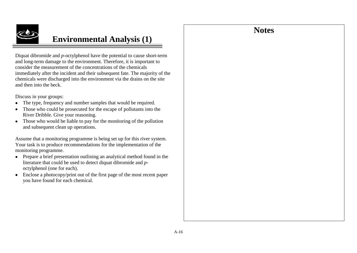# **Notes**



# **Environmental Analysis (1)**

Diquat dibromide and *p-*octylphenol have the potential to cause short-term and long-term damage to the environment. Therefore, it is important to consider the measurement of the concentrations of the chemicals immediately after the incident and their subsequent fate. The majority of the chemicals were discharged into the environment via the drains on the site and then into the beck.

Discuss in your groups:

- The type, frequency and number samples that would be required.
- Those who could be prosecuted for the escape of pollutants into the River Dribble. Give your reasoning.
- Those who would be liable to pay for the monitoring of the pollution and subsequent clean up operations.

Assume that a monitoring programme is being set up for this river system. Your task is to produce recommendations for the implementation of the monitoring programme.

- Prepare a brief presentation outlining an analytical method found in the literature that could be used to detect diquat dibromide and *p*octylphenol (one for each).
- Enclose a photocopy/print out of the first page of the most recent paper you have found for each chemical.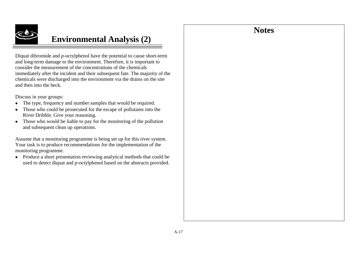# **Notes**



# **Environmental Analysis (2)**

Diquat dibromide and *p-*octylphenol have the potential to cause short-term and long-term damage to the environment. Therefore, it is important to consider the measurement of the concentrations of the chemicals immediately after the incident and their subsequent fate. The majority of the chemicals were discharged into the environment via the drains on the site and then into the beck.

Discuss in your groups:

- The type, frequency and number samples that would be required.
- Those who could be prosecuted for the escape of pollutants into the River Dribble. Give your reasoning.
- Those who would be liable to pay for the monitoring of the pollution and subsequent clean up operations.

Assume that a monitoring programme is being set up for this river system. Your task is to produce recommendations for the implementation of the monitoring programme.

• Produce a short presentation reviewing analytical methods that could be used to detect diquat and *p*-octylphenol based on the abstracts provided.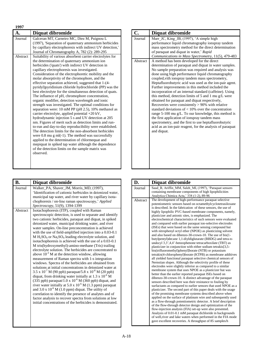| 1997                |                                                                                                                                                                                                                                                                                                                                                                                                                                                                                                                                                                                                                                                                                                                                                                                                                                                                                                |
|---------------------|------------------------------------------------------------------------------------------------------------------------------------------------------------------------------------------------------------------------------------------------------------------------------------------------------------------------------------------------------------------------------------------------------------------------------------------------------------------------------------------------------------------------------------------------------------------------------------------------------------------------------------------------------------------------------------------------------------------------------------------------------------------------------------------------------------------------------------------------------------------------------------------------|
| $\mathbf{A}$ .      | Diquat dibromide                                                                                                                                                                                                                                                                                                                                                                                                                                                                                                                                                                                                                                                                                                                                                                                                                                                                               |
| Journal<br>Abstract | Galceran MT, Carneiro MC, Diez M, Puignou L<br>(1997), 'Separation of quaternary ammonium herbicides<br>by capillary electrophoresis with indirect UV detection,'<br>Journal of Chromatography A, 782 (2): 289-295<br>Suitability of various absorbent carrier electrolytes for<br>the determination of quaternary ammonium ion<br>herbicides ('quats') with indirect UV detection in<br>capillary electrophoresis was investigated.<br>Consideration of the electrophoretic mobility and the<br>molar absorptivity of the chromophore, and the<br>effective separation achieved, suggested that 1-(4-<br>pyridyl) pyridinium chloride hydrochloride (PP) was the<br>best electrolyte for the simultaneous detection of quats.<br>The influence of pH, chromophore concentration,<br>organic modifier, detection wavelength and ionic<br>strength was investigated. The optimal conditions for |
|                     | separation were: 10 mM PP (pH 2.5), 10% methanol as<br>carrier electrolyte, applied potential +20 kV,<br>hydrodynamic injection 5 s and UV detection at 205<br>nm. Figures of merit such as detection limits and run-<br>to-run and day-to-day reproducibility were established.<br>The detection limits for the non-absorbent herbicides<br>were $0.8$ mu g ml(-1). The method was successfully<br>applied to the determination of chlormequat and<br>mepiquat in spiked tap water although the dependence<br>of the detection limits on the sample matrix was<br>observed.                                                                                                                                                                                                                                                                                                                   |

| <b>B.</b>           | Diquat dibromide                                                                                                                                                                                                                                                                                                                                                                                                                                                                                                                                                                                                                                                                                                                                                                                                                                                                                                                                                                                                                                                                                                                                                                                                                                                                                      |
|---------------------|-------------------------------------------------------------------------------------------------------------------------------------------------------------------------------------------------------------------------------------------------------------------------------------------------------------------------------------------------------------------------------------------------------------------------------------------------------------------------------------------------------------------------------------------------------------------------------------------------------------------------------------------------------------------------------------------------------------------------------------------------------------------------------------------------------------------------------------------------------------------------------------------------------------------------------------------------------------------------------------------------------------------------------------------------------------------------------------------------------------------------------------------------------------------------------------------------------------------------------------------------------------------------------------------------------|
| Journal<br>Abstract | Walker_PA, Shaver_JM, Morris_MD, (1997),<br>'Identification of cationic herbicides in deionized water,<br>municipal tap water, and river water by capillary isota-<br>chophoresis / on-line raman spectroscopy,' Applied<br>Spectroscopy, 51(9), 1394-1399<br>Isotachophoresis (ITP), coupled with Raman                                                                                                                                                                                                                                                                                                                                                                                                                                                                                                                                                                                                                                                                                                                                                                                                                                                                                                                                                                                              |
|                     | spectroscopic detection, is used to separate and identify<br>two cationic herbicides, paraquat and diquat, in spiked<br>deionized water, municipal drinking water, and river<br>water samples. On-line preconcentration is achieved<br>with the use of field-amplified injection into a 0.03-0.1<br>$M H2SO4$ or $Na2SO4$ leading electrolyte solution, and<br>isotachophoresis is achieved with the use of a 0.03-0.1<br>M tris(hydroxymethyl)-amino-methane (Tris) trailing<br>electrolyte solution. The herbicides are concentrated to<br>above $10^{-3}$ M at the detection window, allowing<br>measurement of Raman spectra with 1-s integration<br>windows. Spectra of the herbicides are obtained from<br>solutions at initial concentrations in deionized water at<br>3.5 x 10 <sup>-7</sup> M (90 ppb) paraquat/5.8 x 10 <sup>-8</sup> M (20 ppb)<br>diquat, from drinking water initially at 1.3 x $10^{-6}$ M<br>(335 ppb) paraquat/1.0 x $10^{-6}$ M (360 ppb) diquat, and<br>river water initially at 5.0 x $10^{-6}$ M (1.3 ppm) paraquat<br>and 3.0 x $10^{-6}$ M (1.0 ppm) diquat. The utility of<br>correlation to identify the presence of analytes and of<br>factor analysis to recover spectra from solutions at low<br>initial concentrations of the herbicides is demonstrated. |

| C.       | Diquat dibromide                                                                                                                                                                                                                                                                                                                                                                                                                                                                                                                                                                                                                                                                                                                                                                                                                                                                                                          |
|----------|---------------------------------------------------------------------------------------------------------------------------------------------------------------------------------------------------------------------------------------------------------------------------------------------------------------------------------------------------------------------------------------------------------------------------------------------------------------------------------------------------------------------------------------------------------------------------------------------------------------------------------------------------------------------------------------------------------------------------------------------------------------------------------------------------------------------------------------------------------------------------------------------------------------------------|
| Journal  | Marr JC, King JB, (1997), 'A simple high<br>performance liquid chromatography ionspray tandem<br>mass spectrometry method for the direct determination<br>of paraquat and diquat in water,' Rapid<br>Communications in Mass Spectrometry, 11(5), 479-483                                                                                                                                                                                                                                                                                                                                                                                                                                                                                                                                                                                                                                                                  |
| Abstract | A method has been developed for the direct<br>determination of paraquat and diquat in water samples.<br>No sample preparation was required and analysis was<br>done using high performance liquid chromatography<br>coupled, vith ionspray tandem mass spectrometry,<br>Heptafluorobutyric acid was used as the ion-pair agent.<br>Further improvements in this method included the<br>incorporation of an internal standard (caffeine). Using<br>this method, detection limits of 5 and 1 mu $g/L$ were<br>obtained for paraquat and diquat respectively,<br>Recoveries were consistently $> 90\%$ with relative<br>standard deviations of $< 10\%$ over the concentration<br>range 5-100 mu g/L. To our knowledge, this method is<br>the first application of ionspray tandem mass<br>spectrometry, and the first to use heptafluorobutyric<br>acid as an ion-pair reagent, for the analysis of paraquat<br>and diquat. |

| D.       | Diquat dibromide                                                                                                                                                                                                                                                                                                                                                                                                                                                                                                                                                                                                                                                                                                                                                                                                                                                                                                                                                                                                                                                                                                                                                                                                                                                                                                                                                                                                                                                                                                                                                                                                                                                                                                                                                                                                                                                                                                                                                                                                                                       |
|----------|--------------------------------------------------------------------------------------------------------------------------------------------------------------------------------------------------------------------------------------------------------------------------------------------------------------------------------------------------------------------------------------------------------------------------------------------------------------------------------------------------------------------------------------------------------------------------------------------------------------------------------------------------------------------------------------------------------------------------------------------------------------------------------------------------------------------------------------------------------------------------------------------------------------------------------------------------------------------------------------------------------------------------------------------------------------------------------------------------------------------------------------------------------------------------------------------------------------------------------------------------------------------------------------------------------------------------------------------------------------------------------------------------------------------------------------------------------------------------------------------------------------------------------------------------------------------------------------------------------------------------------------------------------------------------------------------------------------------------------------------------------------------------------------------------------------------------------------------------------------------------------------------------------------------------------------------------------------------------------------------------------------------------------------------------------|
| Journal  | Saad_B, Ariffin_MM, Saleh_MI, (1997), 'Paraquat sensors<br>containing membrane components of high lipophilicities<br>Analytica Chimica Acta,' 338 (1-2), 89-96                                                                                                                                                                                                                                                                                                                                                                                                                                                                                                                                                                                                                                                                                                                                                                                                                                                                                                                                                                                                                                                                                                                                                                                                                                                                                                                                                                                                                                                                                                                                                                                                                                                                                                                                                                                                                                                                                         |
| Abstract | The development of high-performance paraquat selective<br>potentiometric sensors based on octamethylcyclotetrasiloxane<br>is described. In the fabrication of these sensors, the use of<br>highly lipophilic PVC-based membrane components, namely,<br>plasticizer and anionic sites, is emphasized. The<br>electrochemical characteristics of such sensors were evaluated<br>and compared with earlier paraquat ion-selective electrodes<br>(ISEs) that were based on the same sensing compound but<br>with nitrophenyl octyl ether (NPOE) as plasticizing solvent<br>and also based on dibenzo-30-crown-10. The use of bis(1-<br>butylpentyl) decane 1,1-diyldiglutarate (BBDG) and tetra-n-<br>undecyl 3,3',4,4'-benzophenone tetracarboxilate (TBT) as<br>plasticizer in conjunction with either sodium tetrakis[3,5-<br>bis(trifluoromethyl)phenyl]borate (NTB) or potassium<br>tetrakis(4-chlorophenyl)borate (KTPB) as membrane additives<br>all yielded functional paraquat selective chemical sensors of<br>Nernstian slopes. Although the selectivity profile of these<br>electrodes were slightly inferior as compared to a similar<br>membrane system that uses NPOE as a plasticizer but was<br>better than the earlier reported paraquat ISEs based on<br>dibenzo-30-crown-10. A distinct advantage of the paraquat<br>sensors described here was their resistance to fouling by<br>surfactants as compared to earlier sensors that used NPOE as a<br>plasticizer. The second part of this paper deals with the usage<br>of the promising membrane systems described above when<br>applied on the surface of platinum wire and subsequently used<br>as a flow-through potentiometric detector. A brief description<br>of the flow-through detector design and optimization of the<br>flow-injection analysis (FIA) set-up were also presented.<br>Analysis of 0.01-0.1 mM paraquat dichloride in backgrounds<br>of well, river and lake waters when performed in the FIA mode<br>gave excellent recoveries. A throughput of 85 samples/h |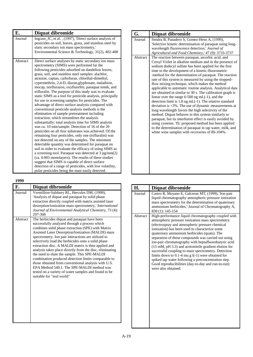| E.       | Diquat dibromide                                                                                                                                                                                                                                                                                                                                                                                                                                                                                                                                                                                                                                                                                                                                                                                                                                                                                                                                                                                                                                                                                                                                                                                                                                                                                                                                                                                                                                           |
|----------|------------------------------------------------------------------------------------------------------------------------------------------------------------------------------------------------------------------------------------------------------------------------------------------------------------------------------------------------------------------------------------------------------------------------------------------------------------------------------------------------------------------------------------------------------------------------------------------------------------------------------------------------------------------------------------------------------------------------------------------------------------------------------------------------------------------------------------------------------------------------------------------------------------------------------------------------------------------------------------------------------------------------------------------------------------------------------------------------------------------------------------------------------------------------------------------------------------------------------------------------------------------------------------------------------------------------------------------------------------------------------------------------------------------------------------------------------------|
| Journal  | Ingram_JC, et al., (1997), 'Direct surface analysis of<br>pesticides on soil, leaves, grass, and stainless steel by<br>static secondary ion mass spectrometry,'<br>Environmental Science & Technology, 31(2), 402-408                                                                                                                                                                                                                                                                                                                                                                                                                                                                                                                                                                                                                                                                                                                                                                                                                                                                                                                                                                                                                                                                                                                                                                                                                                      |
| Abstract | Direct surface analyses by static secondary ion mass<br>spectrometry (SIMS) were performed far the<br>following pesticides adsorbed on dandelion leaves,<br>grass, soil, and stainless steel samples: alachlor,<br>atrazine, captan, carbofuran, chlorthal-dimethyl,<br>cypermethrin, 2,4-D, diuran, glyphosate, malathion,<br>mocap, norflurazon, oxyfluorfen, paraquat temik, and<br>trifluralin. The purpose of this study was to evaluate<br>static SIMS as a tool for pesticide analysis, principally<br>for use in screening samples for pesticides. The<br>advantage of direct surface analysis compared with<br>conventional pesticide analysis methods is the<br>elimination of sample pretreatment including<br>extraction, which streamlines the analysis<br>substantially; total analysis time for SIMS analysis<br>was ca. 10 min/sample. Detection of 16 of the 20<br>pesticides on all four substrates was achieved. Of the<br>remaining four pesticides, only one (trifluralin) was<br>not detected on any of the samples. The minimum<br>detectable quantity was determined for paraquat on<br>soil in order to evaluate the efficacy of using SIMS as<br>a screening tool. Paraquat was detected at 3 pg/mm(2)<br>(ca. 0.005 monolayers). The results of these studies<br>suggest that SIMS is capable of direct surface<br>detection of a range of pesticides, with low volatility,<br>polar pesticides being the mast easily detected. |

| エノノノ     |                                                                                                                                                                                                                                                                                                                                                                                                                                                                                                                                                                                                                                                                                                                                          |
|----------|------------------------------------------------------------------------------------------------------------------------------------------------------------------------------------------------------------------------------------------------------------------------------------------------------------------------------------------------------------------------------------------------------------------------------------------------------------------------------------------------------------------------------------------------------------------------------------------------------------------------------------------------------------------------------------------------------------------------------------------|
| F.       | Diquat dibromide                                                                                                                                                                                                                                                                                                                                                                                                                                                                                                                                                                                                                                                                                                                         |
| Journal  | Vermillion-Salsbury RL, Hercules DM, (1999),<br>'Analysis of diquat and paraquat by solid phase<br>extraction directly coupled with matrix assisted laser<br>desorption/ionization mass spectrometry,' <i>International</i><br>Journal of Environmental Analytical Chemistry, 73 (4):<br>297-308                                                                                                                                                                                                                                                                                                                                                                                                                                         |
| Abstract | The herbicides diquat and paraquat have been<br>successfully analyzed through a process which<br>combines solid phase extraction (SPE) with Matrix<br>Assisted Laser Desorption/Ionization (MALDI) mass<br>spectrometry. Ion pair interactions are utilized to<br>selectively load the herbicides onto a solid phase<br>extraction disc. A MALDI matrix is then applied and<br>analysis takes place directly from the disc, eliminating<br>the need to elute the sample. This SPE-MALDI<br>combination produced detection limits comparable to<br>those obtained from conventional analysis with U.S.<br>EPA Method 549.1. The SPE-MALDI method was<br>tested on a variety of water samples and found to be<br>suitable for "real world" |

| G.                  | Diquat dibromide                                                                                                                                                                                                                                                                                                                                                                                                                                                                                                                                                                                                                                                                                                                                                                                                                                                                                                                                                                                                                                             |
|---------------------|--------------------------------------------------------------------------------------------------------------------------------------------------------------------------------------------------------------------------------------------------------------------------------------------------------------------------------------------------------------------------------------------------------------------------------------------------------------------------------------------------------------------------------------------------------------------------------------------------------------------------------------------------------------------------------------------------------------------------------------------------------------------------------------------------------------------------------------------------------------------------------------------------------------------------------------------------------------------------------------------------------------------------------------------------------------|
| Journal<br>Abstract | Sendra B, Panadero S, Gomez-Hens A, (1999),<br>'Selective kinetic determination of paraquat using long-<br>wavelength fluorescence detection,' Journal of<br>Agricultural and Food Chemistry,' 47 (9): 3733-3737<br>The reaction between paraquat, ascorbic acid, and<br>Cresyl Violet in alkaline medium and in the presence of<br>sodium dodecyl sulfate has been applied for the first<br>time to the development of a kinetic-fluorometric<br>:method for the determination of paraquat. The reaction<br>rate of this system is measured by using the stopped-<br>flow mixing technique, which makes the method<br>applicable to automatic routine analysis. Analytical data<br>are obtained in similar to 30 s. The calibration graph is<br>linear over the range 6-500 ng mL(-1), and the<br>detection limit is $1.8 \text{ ng mL}(-1)$ . The relative standard<br>deviation is $\langle 3\% \rangle$ . The use of dynamic measurements at<br>long wavelength favors the high selectivity of the<br>method. Diquat behaves in this system similarly to |
|                     | paraquat, but its interferent effect is easily avoided by<br>using cysteine. Th: proposed method has been applied<br>to the determination of paraquat in tap water, milk, and<br>white wine samples with recoveries of 89-104%.                                                                                                                                                                                                                                                                                                                                                                                                                                                                                                                                                                                                                                                                                                                                                                                                                              |
|                     |                                                                                                                                                                                                                                                                                                                                                                                                                                                                                                                                                                                                                                                                                                                                                                                                                                                                                                                                                                                                                                                              |

| H.       | Diquat dibromide                                                                                                                                                                                                                                                                                                                                                                                                                                                                                                                                                                                                                                                                       |
|----------|----------------------------------------------------------------------------------------------------------------------------------------------------------------------------------------------------------------------------------------------------------------------------------------------------------------------------------------------------------------------------------------------------------------------------------------------------------------------------------------------------------------------------------------------------------------------------------------------------------------------------------------------------------------------------------------|
| Journal  | Castro R, Moyano E, Galceran MT, (1999), 'Ion-pair<br>liquid chromatography atmospheric pressure ionization<br>mass spectrometry for the determination of quaternary<br>ammonium herbicides,' Journal of Chromatography A,<br>830 (1): 145-154                                                                                                                                                                                                                                                                                                                                                                                                                                         |
| Abstract | High-performance liquid chromatography coupled with<br>atmospheric pressure ionization mass spectrometry<br>(electrospray and atmospheric pressure chemical<br>ionization) has been used to characterize some<br>quaternary ammonium herbicides (quats). The<br>separation of these compounds was carried out using<br>ion-pair chromatography with heptafluorobutyric acid<br>(15 mM, pH 3.3) and acetonitrile gradient elution for<br>successful coupling to mass spectrometry. Detection<br>limits down to 0.1-4 mu g $l(-1)$ were obtained for<br>spiked tap water following a preconcentration step.<br>Good reproducibilities (day-to-day and run-to-run)<br>were also obtained. |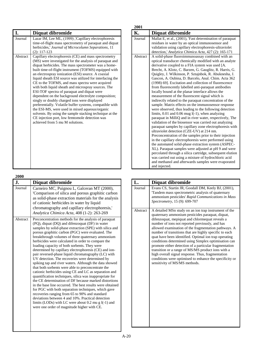| I.       | Diquat dibromide                                                                                                                                                                                                                                                                                                                                                                                                                                                                                                                                                                                                                                                                                                                                                                                                                                                                   |
|----------|------------------------------------------------------------------------------------------------------------------------------------------------------------------------------------------------------------------------------------------------------------------------------------------------------------------------------------------------------------------------------------------------------------------------------------------------------------------------------------------------------------------------------------------------------------------------------------------------------------------------------------------------------------------------------------------------------------------------------------------------------------------------------------------------------------------------------------------------------------------------------------|
| Journal  | Lazar IM, Lee ML, (1999), 'Capillary electrophoresis<br>time-of-flight mass spectrometry of paraquat and diquat<br>herbicides,' Journal of Microcolumn Separations, 11<br>$(2): 117-123$                                                                                                                                                                                                                                                                                                                                                                                                                                                                                                                                                                                                                                                                                           |
| Abstract | Capillary electrophoresis (CE) and mass spectrometry<br>(MS) were investigated for the analysis of paraquat and<br>diquat herbicides. The mass spectrometer was a home-<br>built time-of-flight instrument (TOFMS) equipped with<br>an electrospray ionization (ESI) source. A coaxial<br>liquid sheath ESI source was utilized for interfacing the<br>CE to the TOFMS, and mass spectra were acquired<br>with both liquid sheath and microspray sources. The<br>ESI-TOF spectra of paraquat and diquat were<br>dependent on the background electrolyte composition;<br>singly or doubly charged ions were displayed<br>preferentially. Volatile buffer systems, compatible with<br>the ESI-MS, were used in mixed aqueous/organic<br>solvents. By using the sample stacking technique at the<br>CE injection port, low femtomole detection was<br>achieved from 5 mu M solutions. |

| 2000           |                                                                                                                                                                                                                                                                                                                                                                                                                                                                                                                                                                                                                                                                                                                                                                                                                                                                                                                                                                                                                                                                                                                                                                                          |
|----------------|------------------------------------------------------------------------------------------------------------------------------------------------------------------------------------------------------------------------------------------------------------------------------------------------------------------------------------------------------------------------------------------------------------------------------------------------------------------------------------------------------------------------------------------------------------------------------------------------------------------------------------------------------------------------------------------------------------------------------------------------------------------------------------------------------------------------------------------------------------------------------------------------------------------------------------------------------------------------------------------------------------------------------------------------------------------------------------------------------------------------------------------------------------------------------------------|
| $\mathbf{J}$ . | Diquat dibromide                                                                                                                                                                                                                                                                                                                                                                                                                                                                                                                                                                                                                                                                                                                                                                                                                                                                                                                                                                                                                                                                                                                                                                         |
| Journal        | Carneiro MC, Puignou L, Galceran MT (2000),<br>'Comparison of silica and porous graphitic carbon<br>as solid-phase extraction materials for the analysis<br>of cationic herbicides in water by liquid<br>chromatography and capillary electrophoresis,<br>Analytica Chimica Acta, 408 (1-2): 263-269                                                                                                                                                                                                                                                                                                                                                                                                                                                                                                                                                                                                                                                                                                                                                                                                                                                                                     |
| Abstract       | Preconcentration methods for the analysis of paraquat<br>(PQ), diquat (DQ) and difenzoquat (DF) in water<br>samples by solid-phase extraction (SPE) with silica and<br>porous graphitic carbon (PGC) were evaluated. The<br>breakthrough volumes of three quaternary ammonium<br>herbicides were calculated in order to compare the<br>loading capacity of both sorbents. They were<br>determined by capillary electrophoresis (CE) and ion-<br>pair reversed-phase liquid chromatography (LC) with<br>UV detection. The recoveries were determined by<br>spiking tap and river waters. Although the data showed<br>that both sorbents were able to preconcentrate the<br>cationic herbicides using CE and LC as separation and<br>quantification techniques, silica was inappropriate for<br>the CE determination of DF because marked distortions<br>in the base line occurred. The best results were obtained<br>for PGC with both separation techniques, which gave<br>recoveries ranging from 65 to 90% and standard<br>deviations between 4 and 10%. Practical detection<br>limits (LODs) with LC were about $0.2$ mu g $1(-1)$ and<br>were one order of magnitude higher with CE. |

| 2001     |                                                                                                                                                                                                                                                                                                                                                                                                                                                                                                                                                                                                                                                                                                                                                                                                                                                                                                                                                                                                                                                                                                                                                                                                                                                                                                                                                                                                                                                                     |
|----------|---------------------------------------------------------------------------------------------------------------------------------------------------------------------------------------------------------------------------------------------------------------------------------------------------------------------------------------------------------------------------------------------------------------------------------------------------------------------------------------------------------------------------------------------------------------------------------------------------------------------------------------------------------------------------------------------------------------------------------------------------------------------------------------------------------------------------------------------------------------------------------------------------------------------------------------------------------------------------------------------------------------------------------------------------------------------------------------------------------------------------------------------------------------------------------------------------------------------------------------------------------------------------------------------------------------------------------------------------------------------------------------------------------------------------------------------------------------------|
| К.       | Diquat dibromide                                                                                                                                                                                                                                                                                                                                                                                                                                                                                                                                                                                                                                                                                                                                                                                                                                                                                                                                                                                                                                                                                                                                                                                                                                                                                                                                                                                                                                                    |
| Journal  | Mallat E, et al., (2001), 'Fast determination of paraquat<br>residues in water by an optical immunosensor and<br>validation using capillary electrophoresis-ultraviolet<br>detection,' Analytica Chimica Acta, 427 (2): 165-171                                                                                                                                                                                                                                                                                                                                                                                                                                                                                                                                                                                                                                                                                                                                                                                                                                                                                                                                                                                                                                                                                                                                                                                                                                     |
| Abstract | A solid-phase fluoroimmunoassay combined with an<br>optical transducer chemically modified with an analyte<br>derivative coupled to a FIA system was used [A.<br>Brecht, A. Klotz, C. Barzen, G. Gauglitz, R. Harris, G.<br>Quigley, J. Wilkinson, P. Sztajnbok, R. Abuknesha, J.<br>Gascon, A. Oubina, D. Barcelo, Anal. Chim. Acta 362<br>(1998) 69]. Excitation and collection of fluorescence<br>from fluorescently labelled anti-paraquat antibodies<br>locally bound at the planar interface allows the<br>measurement of the fluorescent signal which is<br>indirectly related to the paraquat concentration of the<br>sample. Matrix effects on the immunosensor response<br>were observed, thus leading to the following detection<br>limits, $0.01$ and $0.06$ mug $1(-1)$ , when analyzing<br>paraquat in MilliQ and in river water, respectively, The<br>validation of the biosensor was carried out analyzing<br>paraquat samples by capillary zone electrophoresis with<br>ultraviolet detection (CZE-UV) at 214 nm.<br>Preconcentration of the samples prior to their injection<br>in the capillary electrophoresis were performed using<br>the automated solid-phase extraction system (ASPEC-<br>XL). Paraquat samples were adjusted at pH 9 and were<br>percolated through a silica cartridge, subsequent elution<br>was carried out using a mixture of hydrochloric acid<br>and methanol and afterwards samples were evaporated<br>and injected. |

| L.       | Diquat dibromide                                                                                                                                                                                                                                                                                                                                                                                                                                                                                                                                                                                                                                                                                                    |
|----------|---------------------------------------------------------------------------------------------------------------------------------------------------------------------------------------------------------------------------------------------------------------------------------------------------------------------------------------------------------------------------------------------------------------------------------------------------------------------------------------------------------------------------------------------------------------------------------------------------------------------------------------------------------------------------------------------------------------------|
| Journal  | Evans CS, Startin JR, Goodall DM, Keely BJ, (2001),<br>'Tandem mass spectrometric analysis of quaternary<br>ammonium pesticides' Rapid Communications in Mass<br>Spectrometry, 15 (9): 699-707                                                                                                                                                                                                                                                                                                                                                                                                                                                                                                                      |
| Abstract | A detailed MSn study on an ion trap instrument of the<br>quaternary ammonium pesticides paraquat, diquat,<br>difenzoquat, mepiquat and chlormequat reveals a<br>number of ions not reported previously, and has<br>allowed examination of the fragmentation pathways. A<br>number of transitions that are highly specific to each<br>quat have been identified. Optimal ion trap operating<br>conditions determined using Simplex optimisation can<br>promote either detection of a particular fragmentation<br>transition or a range of MS/MS product ions with a<br>high overall signal response. Thus, fragmentation<br>conditions were optimised to enhance the specificity or<br>sensitivity of MS/MS methods. |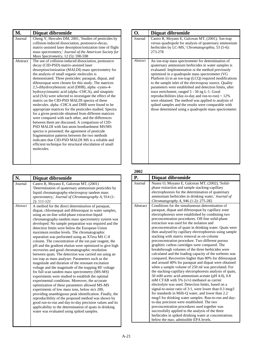| М.       | Diquat dibromide                                                                                                                                                                                                                                                                                                                                                                                                                                                                                                                                                                                                                                                                                                                                                                                                                                                                                                                                                                                                                                                                                              |
|----------|---------------------------------------------------------------------------------------------------------------------------------------------------------------------------------------------------------------------------------------------------------------------------------------------------------------------------------------------------------------------------------------------------------------------------------------------------------------------------------------------------------------------------------------------------------------------------------------------------------------------------------------------------------------------------------------------------------------------------------------------------------------------------------------------------------------------------------------------------------------------------------------------------------------------------------------------------------------------------------------------------------------------------------------------------------------------------------------------------------------|
| Journal  | Cheng Y, Hercules DM, 2001, 'Studies of pesticides by<br>collision-induced dissociation, postsource-decay,<br>matrix-assisted laser desorption/ionization time of flight<br>mass spectrometry,' Journal of the American Society for<br>Mass Spectrometry, 12 (5): 590-598                                                                                                                                                                                                                                                                                                                                                                                                                                                                                                                                                                                                                                                                                                                                                                                                                                     |
| Abstract | The use of collision-induced dissociation, postsource<br>decay (CID-PSD) matrix-assisted laser<br>desorption/ionization (MALDI) mass spectrometry for<br>the analysis of small organic molecules is<br>demonstrated. Three pesticides: paraquat, diquat, and<br>difenzoquat were chosen for this study. The matrices<br>2,5-dihydroxybenzoic acid (DHB), alpha -cyano-4-<br>hydroxycinnamic acid (alpha-CHCA), and sinapinic<br>acid (SA) were selected to investigate the effect of the<br>matrix on the CID-PSD MALDI spectra of these<br>molecules. alpha -CHCA and DHB were found to be<br>appropriate matrices for the pesticides studied. Spectra<br>for a given pesticide obtained from different matrices<br>were compared with each other, and the differences<br>between them are discussed. A comparison of CID-<br>PSD MALDI with fast-atom bombardment MS/MS<br>spectra is presented; the agreement of pesticide<br>fragmentation patterns between the two methods<br>indicates that CID-PSD MALDI MS is a reliable and<br>efficient technique for structural elucidation of small<br>molecules. |

| N.       | Diquat dibromide                                                                                                                                                                                                                                                                                                                                                                                                                                                                                                                                                                                                                                                                                                                                                                                                                                                                                                                                                                                                                                                                                                                                                                                                                                                                                                                                                                   |
|----------|------------------------------------------------------------------------------------------------------------------------------------------------------------------------------------------------------------------------------------------------------------------------------------------------------------------------------------------------------------------------------------------------------------------------------------------------------------------------------------------------------------------------------------------------------------------------------------------------------------------------------------------------------------------------------------------------------------------------------------------------------------------------------------------------------------------------------------------------------------------------------------------------------------------------------------------------------------------------------------------------------------------------------------------------------------------------------------------------------------------------------------------------------------------------------------------------------------------------------------------------------------------------------------------------------------------------------------------------------------------------------------|
| Journal  | Castro R, Moyano E, Galceran MT, (2001)<br>'Determination of quaternary ammonium pesticides by<br>liquid chromatography-electrospray tandem mass<br>spectrometry,' Journal of Chromatography A, 914 (1-<br>2): 111-121                                                                                                                                                                                                                                                                                                                                                                                                                                                                                                                                                                                                                                                                                                                                                                                                                                                                                                                                                                                                                                                                                                                                                             |
| Abstract | A method for the direct determination of paraquat,<br>diquat, chlormequat and difenzoquat in water samples,<br>using an on-line solid-phase extraction-liquid<br>chromatography-tandem mass spectrometry system was<br>developed. No sample preparation was required and the<br>detection limits were below the European Union<br>maximum residue levels. The chromatographic<br>separation was performed using an XTera MS C-8<br>column. The concentration of the ion pair reagent, the<br>pH and the gradient elution were optimized to give high<br>recoveries and good chromatographic resolution<br>between quats. The detection was carried out using an<br>ion trap as mass analyzer. Parameters such as the<br>magnitude and duration of the resonant excitation<br>voltage and the magnitude of the trapping RF voltage<br>for full scan tandem mass spectrometry (MS-MS)<br>experiments were studied to establish the optimal<br>experimental conditions. Moreover, the accurate<br>optimization of these parameters allowed MS-MS<br>experiments of low mass ions, below m/z 200,<br>providing unambiguous peak identification. Finally, the<br>reproducibility of the proposed method was shown by<br>good run-to-run and day-to-day precision values and its<br>applicability to the determination of quats in drinking<br>water was evaluated using spiked samples. |

| О.       | Diquat dibromide                                                                                                                                                                                                                                                                                                                                                                                                                                                                                                                                                                                                                                                                       |
|----------|----------------------------------------------------------------------------------------------------------------------------------------------------------------------------------------------------------------------------------------------------------------------------------------------------------------------------------------------------------------------------------------------------------------------------------------------------------------------------------------------------------------------------------------------------------------------------------------------------------------------------------------------------------------------------------------|
| Journal  | Castro R, Moyano E, Galceran MT, (2001), Ton-trap<br>versus quadrupole for analysis of quaternary ammonium<br>herbicides by LC-MS,' Chromatographia, 53 (5-6):<br>273-278                                                                                                                                                                                                                                                                                                                                                                                                                                                                                                              |
| Abstract | An ion-trap mass spectrometer for determination of<br>quaternary ammonium herbicides in water samples is<br>evaluated. Implementation oi the method previously<br>optimized in a quadrupole mass spectrometer (VG<br>Platform ii) in an ion-trap (LCQ) required modifications<br>to the sample inlet of the electrospray source. Quality<br>parameters were established and detection limits, after<br>trace enrichment, ranged 5 - 50 ng L-1. Good<br>reproducibilities (day-io-day and run-to-run) $< 12\%$<br>were obtained. The method was applied to analysis of<br>spiked samples and the results were comparable with<br>those determined using a quadrupole mass spectrometer. |

| Р.       | Diquat dibromide                                          |
|----------|-----------------------------------------------------------|
|          |                                                           |
| Journal  | Nunez O, Moyano E, Galceran MT, (2002), 'Solid-           |
|          | phase extraction and sample stacking-capillary            |
|          | electrophoresis for the determination of quaternary       |
|          | ammonium herbicides in drinking water,' Journal of        |
|          | Chromatography A, 946 (1-2): 275-282                      |
| Abstract | Conditions for the simultaneous determination of          |
|          | paraquat, diquat and difenzoquat by capillary zone        |
|          | electrophoresis were established by combining two         |
|          | preconcentration procedures. Off-line solid-phase         |
|          | extraction was used for the isolation and                 |
|          | preconcentration of quats in drinking water. Quats were   |
|          | then analysed by capillary electrophoresis using sample   |
|          | stacking with matrix removal as on-column                 |
|          | preconcentration procedure. Two different porous          |
|          | graphitic carbon cartridges were compared. The            |
|          | breakthrough volumes of the three herbicides were         |
|          | calculated and the loading capacity of the sorbents was   |
|          | compared. Recoveries higher than 80% for difenzoquat      |
|          | and around 40% for paraquat and diquat were obtained      |
|          | when a sample volume of 250 ml was percolated. For        |
|          | the stacking-capillary electrophoresis analysis of quats, |
|          | 50 mM acetic acid-ammonium acetate (pH 4.0), 0.8          |
|          | mM CTAB with 5% $(v/v)$ methanol as carrier               |
|          | electrolyte was used. Detection limits, based on a        |
|          | signal-to-noise ratio of 3:1, were lower than 0.3 mug/l   |
|          | for standards in Milli-Q water, and lower than 2.2        |
|          | mug/l for drinking water samples. Run-to-run and day-     |
|          | to-day precision were established. The two                |
|          | preconcentration procedures used together was             |
|          | successfully applied to the analysis of the three         |
|          | herbicides in spiked drinking water at concentrations     |
|          | below the max. admissible EPA levels.                     |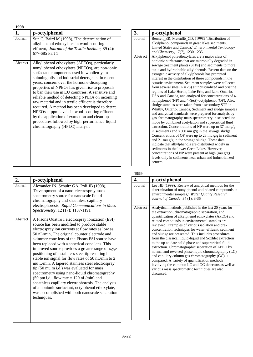| 1998     |                                                                                                                                                                                                                                                                                                                                                                                                                                                                                                                                                                                                                                                                                                             |
|----------|-------------------------------------------------------------------------------------------------------------------------------------------------------------------------------------------------------------------------------------------------------------------------------------------------------------------------------------------------------------------------------------------------------------------------------------------------------------------------------------------------------------------------------------------------------------------------------------------------------------------------------------------------------------------------------------------------------------|
| 1.       | p-octylphenol                                                                                                                                                                                                                                                                                                                                                                                                                                                                                                                                                                                                                                                                                               |
| Journal  | Sun C, Baird M (1998), The determination of<br>alkyl phenol ethoxylates in wool-scouring<br>effluent,' Journal of the Textile Institute, 89 (4):<br>677-685 Part 1                                                                                                                                                                                                                                                                                                                                                                                                                                                                                                                                          |
| Abstract | Alkyl phenol ethoxylates (APEOs), particularly<br>nonyl phenol ethoxylates (NPEOs), are non-ionic<br>surfactant components used in woollen-yam<br>spinning oils and industrial detergents. In recent<br>years, concern over the hormone-disrupting<br>properties of NPEOs has given rise to proposals<br>to ban their use in EU countries. A sensitive and<br>reliable method of detecting NPEOs on incoming<br>raw material and in textile effluent is therefore<br>required. A method has been developed to detect<br>NPEOs at ppm levels in wool-scouring effluent<br>by the application of extraction and clean-up<br>procedures followed by high-performance-liquid-<br>chromatography (HPLC) analysis |

| 2.       | p-octylphenol                                                                                                                                                                                                                                                                                                                                                                                                                                                                                                                                                                                                                                                                                                                                                                                                                                                      |
|----------|--------------------------------------------------------------------------------------------------------------------------------------------------------------------------------------------------------------------------------------------------------------------------------------------------------------------------------------------------------------------------------------------------------------------------------------------------------------------------------------------------------------------------------------------------------------------------------------------------------------------------------------------------------------------------------------------------------------------------------------------------------------------------------------------------------------------------------------------------------------------|
| Journal  | Alexander JN, Schultz GA, Poli JB (1998),<br>'Development of a nano-electrospray mass<br>spectrometry source for nanoscale liquid<br>chromatography and sheathless capillary<br>electrophoresis,' Rapid Communications in Mass<br>Spectrometry, 12 (17): 1187-1191                                                                                                                                                                                                                                                                                                                                                                                                                                                                                                                                                                                                 |
| Abstract | A Fisons Quattro I electrospray ionization (ESI)<br>source has been modified to produce stable<br>electrospray ion currents at flow rates as low as<br>50 nL/min, The original counter electrode and<br>skimmer cone lens of the Fisons ESI source have<br>been replaced with a spherical cone lens. This<br>improved source provides a greater range of x,y,z<br>positioning of a stainless steel tip resulting in a<br>stable ion signal for flow rates of 50 nL/min to 2<br>mu L/min, A tapered stainless steel electrospray<br>tip (50 mu m i,d,) was evaluated for mass<br>spectrometry using nano-liquid chromatography<br>$(50 \text{ pm } i,d,$ , flow rate = 120 nL/min) and<br>sheathless capillary electrophoresis, The analysis<br>of a nonionic surfactant, octylphenol ethoxylate,<br>was accomplished with both nanoscale separation<br>techniques. |

| 3.       | p-octylphenol                                                                                                                                                                                                                                                                                                                                                                                                                                                                                                                                                                                                                                                                                                                                                                                                                                                                                                                                                                                                                                                                                                                                                                                                                                                                                                                                                                                                |
|----------|--------------------------------------------------------------------------------------------------------------------------------------------------------------------------------------------------------------------------------------------------------------------------------------------------------------------------------------------------------------------------------------------------------------------------------------------------------------------------------------------------------------------------------------------------------------------------------------------------------------------------------------------------------------------------------------------------------------------------------------------------------------------------------------------------------------------------------------------------------------------------------------------------------------------------------------------------------------------------------------------------------------------------------------------------------------------------------------------------------------------------------------------------------------------------------------------------------------------------------------------------------------------------------------------------------------------------------------------------------------------------------------------------------------|
| Journal  | Bennett_ER, Metcalfe_CD, (1998) 'Distribution of<br>alkylphenol compounds in great lakes sediments,                                                                                                                                                                                                                                                                                                                                                                                                                                                                                                                                                                                                                                                                                                                                                                                                                                                                                                                                                                                                                                                                                                                                                                                                                                                                                                          |
|          | United States and Canada,' Environmental Toxicology<br>and Chemistry, 17(7), 1230-1235                                                                                                                                                                                                                                                                                                                                                                                                                                                                                                                                                                                                                                                                                                                                                                                                                                                                                                                                                                                                                                                                                                                                                                                                                                                                                                                       |
| Abstract | Alkylphenol polyethoxylates are a major class of<br>nonionic surfactants that are microbially degraded in<br>sewage treatment plants (STPs) and sediments to more<br>toxic and hydrophobic alkylphenols. Recent data on the<br>estrogenic activity of alkylphenols has prompted<br>interest in the distribution of these compounds in the<br>aquatic environment. Sediment samples were collected<br>from several sites ( $n = 28$ ) at industrialized and pristine<br>regions of Lake Huron, Lake Erie, and Lake Ontario,<br>USA and Canada, and analyzed for concentrations of 4-<br>nonylphenol (NP) and 4-(tert)-octylphenol (OP). Also,<br>sludge samples were taken from a secondary STP in<br>Whitby, Ontario, Canada, Sediment and sludge samples<br>and analytical standards were prepared for analysis by<br>gas chromatography-mass spectrometry in selected ion<br>mode by combined acetylation and supercritical fluid<br>extraction. Concentrations of NP were up to 37 mu $g/g$<br>in sediments and $>300$ mu g/g in the sewage sludge.<br>Concentrations of OP were up to 23 mu $g/g$ in sediment<br>and 21 mu $g/g$ in the sewage sludge. These data<br>indicate that alkylphenols are distributed widely in<br>sediments in the lower Great Lakes. However,<br>concentrations of NP were present at high (mu $g/g$ )<br>levels only in sediments near urban and industrialized<br>centers. |

| 4.       | p-octylphenol                                                                                                                                                                                                                                                                                                                                                                                                                                                                                                                                                                                                                                                                                                                                                                                                                                      |
|----------|----------------------------------------------------------------------------------------------------------------------------------------------------------------------------------------------------------------------------------------------------------------------------------------------------------------------------------------------------------------------------------------------------------------------------------------------------------------------------------------------------------------------------------------------------------------------------------------------------------------------------------------------------------------------------------------------------------------------------------------------------------------------------------------------------------------------------------------------------|
| Journal  | Lee HB (1999), 'Review of analytical methods for the<br>determination of nonylphenol and related compounds in<br>environmental samples,' Water Quality Research<br>Journal of Canada, 34 (1): 3-35                                                                                                                                                                                                                                                                                                                                                                                                                                                                                                                                                                                                                                                 |
| Abstract | Analytical methods published in the last 20 years for<br>the extraction, chromatographic separation, and<br>quantification of alkylphenol ethoxylates (APEO) and<br>related compounds in environmental samples are<br>reviewed. Examples of various isolation and pre-<br>concentration techniques for water, effluent, sediment<br>and sludge are presented. This includes procedures<br>from the classical liquid-liquid and Soxhlet extraction<br>to the up-to-date solid phase and supercritical fluid<br>extraction. Chromatographic separation of APEO by<br>normal and reversed phase liquid chromatography (LC)<br>and capillary column gas chromatography (GC) is<br>compared. A variety of quantification methods<br>involving the common LC and GC detectors as well as<br>various mass spectrometric techniques are also<br>discussed. |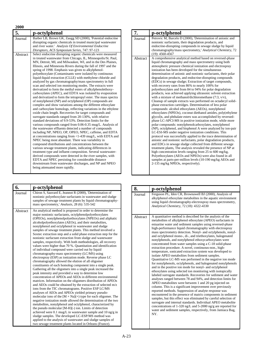#### **5. p-octylphenol** Journal | Barber LB, Brown GK, Zaugg SD (2000), 'Potential endocrine disrupting organic chemicals in treated municipal wastewater and river water.' *Analysis Of Environmental Endocrine Disruptors, ACS Symposium Series,* 747: 97-123 Abstract Select endocrine disrupting organic chemicals were measured in treated wastewater from Chicago, IL, Minneapolis/St. Paul, MN, Detroit, MI, and Milwaukee, WI, and in the Des Plaines, Illinois, and Minnesota Rivers during the fall of 1997 and the spring of 1998. Emphasis was given to alkylphenolpolyethoxylate (Contaminants were isolated by continuous liquid-liquid extraction (CLLE) with methylene chloride and analyzed by gas chromatography/mass spectrometry in full scan and selected ion monitoring modes. The extracts were derivatized to form the methyl esters of alkylphenolethoxycarboxylates (APEC), and EDTA was isolated by evaporation and derivatized to form the tetrapropyl ester. The mass spectra of nonylphenol (NP) and octylphenol (OP) compounds are complex and show variations among the different ethoxylate and carboxylate homologs, reflecting variations in the ethylene oxide chain length. Recoveries for target compounds and surrogate standards ranged from 20-130%, with relative standard deviations of 9.9-53%. Detection limits for the various compounds ranged from 0.06-0.35 mug/L. Analysis of the wastewater effluents detected a number of compounds including NP, NPEO, OP, OPEO, NPEC, caffeine, and EDTA at concentrations ranging from <1-439 mug/L, with EDTA and NPEC being most abundant. There was variability in compound distributions and concentrations between the various sewage treatment plants, indicating differences in treatment type and influent composition. Several wastewaterderived compounds were detected in the river samples, with EDTA and NPEC persisting for considerable distance downstream from wastewater discharges, and NP and NPEO being attenuated more rapidly.

| 6.       | p-octylphenol                                                                                                                                                                                                                                                                                                                                                                                                                                                                                                                                                                                                                                                                                                                                                                                                                                                                                                                                                                                                                                                                                                                                                                                                                                                                                                                                                                                                                                                                                                                                                                                                                                                                                                                                                                                                                                                         |
|----------|-----------------------------------------------------------------------------------------------------------------------------------------------------------------------------------------------------------------------------------------------------------------------------------------------------------------------------------------------------------------------------------------------------------------------------------------------------------------------------------------------------------------------------------------------------------------------------------------------------------------------------------------------------------------------------------------------------------------------------------------------------------------------------------------------------------------------------------------------------------------------------------------------------------------------------------------------------------------------------------------------------------------------------------------------------------------------------------------------------------------------------------------------------------------------------------------------------------------------------------------------------------------------------------------------------------------------------------------------------------------------------------------------------------------------------------------------------------------------------------------------------------------------------------------------------------------------------------------------------------------------------------------------------------------------------------------------------------------------------------------------------------------------------------------------------------------------------------------------------------------------|
| Journal  | Chiron S, Sauvard E, Jeannot R (2000), 'Determination of<br>nonionic polyethoxylate surfactants in wastewater and sludge<br>samples of sewage treatment plants by liquid chromatography-<br>mass spectrometry, Analusis, 28 (6): 535-542                                                                                                                                                                                                                                                                                                                                                                                                                                                                                                                                                                                                                                                                                                                                                                                                                                                                                                                                                                                                                                                                                                                                                                                                                                                                                                                                                                                                                                                                                                                                                                                                                              |
| Abstract | An analytical method is proposed in order to determine the<br>major nonionic surfactants, octylphenolpolyethoxylates<br>(OPEOs), nonylphenolpolyethoxylates (NPEOs) and aliphatic<br>alcoholpolyethoxylates (AEOs), and their metabolites,<br>nonylphenol and octylphenol in wastewater and sludge<br>samples of sewage treatment plants. This method involved a<br>Soxtec extraction step and a solid phase extraction step for the<br>nonionic surfactant extraction from sludge and wastewater<br>samples, respectively. With both methodologies, all recovery<br>values were higher than 70 %. Quantitation and identification<br>of individual compound were carried out by liquid<br>chromatography-mass spectrometry (LC/MS) using<br>electrospray (ESP) as ionization mode. Reverse phase LC<br>chromatography allowed the elution of all oligomer<br>constituents of each homolog component into a single peak.<br>Gathering all the oligomers into a single peak increased the<br>peak intensity and provided a way to determine low<br>concentration of APEOs and AEOs in different environmental<br>matrices. Information on the oligomers distribution of APEOs<br>and AEOs could be obtained by the extraction of selected m/z<br>ions from the TIC chromatograms. Positive ESP LC/MS<br>analyses of AEOs and APEOs yielded primary pseudo-<br>molecular ions of the $[M + Na](+)$ type for each oligomer. The<br>negative ionization mode allowed the determination of the two<br>metabolites, nonylphenol and octylphenol, characterized by<br>the pseudo molecular [M-H](-) ion. Limits of detection<br>achieved were 0.1 mug/L in wastewater sample and 10 ng/g in<br>sludge samples. The developed LC-ESP/MS method was<br>applied to the analysis of wastewater and sludge samples of<br>two sewage treatment plants located in Orleans (France). |

| 7.       | p-octylphenol                                                                                                                                                                                                                                                                                                                                                                                                                                                                                                                                                                                                                                                                                                                                                                                                                                                                                                                                                                                                                                                                                                                                                                                                                                                                                                                                                                                                                                                                                                                                                                                                                                                                                                                           |
|----------|-----------------------------------------------------------------------------------------------------------------------------------------------------------------------------------------------------------------------------------------------------------------------------------------------------------------------------------------------------------------------------------------------------------------------------------------------------------------------------------------------------------------------------------------------------------------------------------------------------------------------------------------------------------------------------------------------------------------------------------------------------------------------------------------------------------------------------------------------------------------------------------------------------------------------------------------------------------------------------------------------------------------------------------------------------------------------------------------------------------------------------------------------------------------------------------------------------------------------------------------------------------------------------------------------------------------------------------------------------------------------------------------------------------------------------------------------------------------------------------------------------------------------------------------------------------------------------------------------------------------------------------------------------------------------------------------------------------------------------------------|
| Journal  | Petrovic M, Barcelo D (2000), 'Determination of anionic and<br>nonionic surfactants, their degradation products, and<br>endocrine-disrupting compounds in sewage sludge by liquid<br>chromatography/mass spectrometry,' Analytical Chemistry, 72<br>$(19): 4560 - 4567$                                                                                                                                                                                                                                                                                                                                                                                                                                                                                                                                                                                                                                                                                                                                                                                                                                                                                                                                                                                                                                                                                                                                                                                                                                                                                                                                                                                                                                                                 |
| Abstract | A comprehensive analytical method based on reversed-phase<br>liquid chromatography and mass spectrometry using both<br>atmospheric pressure chemical ionization and electrospray<br>ionization has been developed for the simultaneous<br>determination of anionic and nonionic surfactants, their polar<br>degradation products, and endocrine-disrupting compounds<br>(EDCs) in sewage sludge; Extraction of target compounds,<br>with recovery rates from 86% to nearly 100% for<br>polyethoxylates and from 84 to 94% for polar degradation<br>products, was achieved applying ultrasonic solvent extraction<br>with a mixture of methanol/dichloromethane $(7:3, v/v)$ ,<br>Cleanup of sample extracts was performed on octadecyl solid-<br>phase extraction cartridges. Determination of less polar<br>compounds: alcohol ethoxylates (AEOs), nonylphenol<br>ethoxylates (NPEOs), coconut diethanol amides, poly(ethylene<br>glycol)s, and phthalate esters was accomplished by reversed-<br>phase LC-APCI-MS in positive ionization mode, while more<br>polar compounds: nonylphenolcarboxylates, nonylphenol<br>(NP), octylphenol, and bisphenol A were analyzed by ion-pair<br>LC-ESI-MS under negative ionization conditions. This<br>protocol was successfully applied to the trace determination of<br>anionic and nonionic surfactants, polar degradation products,<br>and EDCs in sewage sludge collected from different sewage<br>treatment plants, The analysis revealed the presence of NP at<br>high concentration levels ranging from 25 to 600 mg/kg,<br>Polyethoxylates (AEOs and NPEOs) were also found in all<br>samples at parts-per-million levels (10-190 mg/kg AEOs and<br>2-135 mg/kg NPEOs, respectively). |

| 8.       | p-octylphenol                                                                                                                                                                                                                                                                                                                                                                                                                                                                                                                                                                                                                                                                                                                                                                                                                                                                                                                                                                                                                                                                                                                                                                                                                                                                                                                                                                                                                                                                                                                                                                                     |
|----------|---------------------------------------------------------------------------------------------------------------------------------------------------------------------------------------------------------------------------------------------------------------------------------------------------------------------------------------------------------------------------------------------------------------------------------------------------------------------------------------------------------------------------------------------------------------------------------------------------------------------------------------------------------------------------------------------------------------------------------------------------------------------------------------------------------------------------------------------------------------------------------------------------------------------------------------------------------------------------------------------------------------------------------------------------------------------------------------------------------------------------------------------------------------------------------------------------------------------------------------------------------------------------------------------------------------------------------------------------------------------------------------------------------------------------------------------------------------------------------------------------------------------------------------------------------------------------------------------------|
| Journal  | Ferguson PL, Iden CR, Brownawell BJ (2000), Analysis of<br>alkylphenol ethoxylate metabolites in the aquatic environment<br>using liquid chromatography-electrospray mass spectrometry,<br>Analytical Chemistry, 72 (18): 4322-4330                                                                                                                                                                                                                                                                                                                                                                                                                                                                                                                                                                                                                                                                                                                                                                                                                                                                                                                                                                                                                                                                                                                                                                                                                                                                                                                                                               |
| Abstract | A quantitative method is described for the analysis of the<br>metabolites of alkylphenol ethoxylate (APEO) surfactants in<br>estuarine water and sediment samples using reversed-phase<br>high-performance liquid chromatography with electrospray<br>mass spectrometry detection. Nonyl- and octylphenols, nonyl-<br>and octylphenol mono-, di-, and triethoxylates, halogenated<br>nonylphenols, and nonylphenol ethoxycarboxylates were<br>concentrated from water samples using a C-18 solid-phase<br>extraction procedure. A novel, continuous-non., high-<br>temperature, sonicated extraction system was developed to<br>isolate APEO metabolites from sediment samples.<br>Quantitative LC-MS was performed in the negative ion mode<br>for nonylphenols, octylphenols, and halogenated nonylphenols<br>and in the positive ion mode for nonyl- and octylphenol<br>ethoxylates using selected ion monitoring with isotopically<br>labeled surrogate standards. Recoveries for sediment and water<br>analyses ranged between 78 and 94%, and detection limits for<br>APEO metabolites were between 1 and 20 pg injected on<br>column. This is a significant improvement over previously<br>reported methods. Suppression of analyte response was<br>encountered in the presence of matrix components in sediment<br>samples, but this effect was eliminated by careful selection of<br>surrogate and internal standards. Individual APEO metabolite<br>concentrations of 1-320 ng/L and 5-2000 ng/g are reported for<br>water and sediment samples, respectively, from Jamiaca Bag,<br>NY. |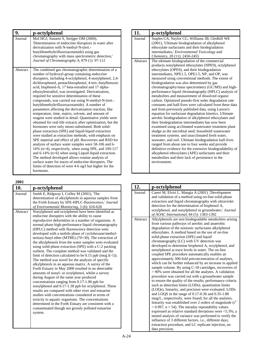| 9.       | p-octylphenol                                                                                                                                                                                                                                                                                                                                                                                                                                                                                                                                                                                                                                                                                                                                                                                                                                                                                                                                                                                                                                                                                                                                                                                                                                                                                                                          |
|----------|----------------------------------------------------------------------------------------------------------------------------------------------------------------------------------------------------------------------------------------------------------------------------------------------------------------------------------------------------------------------------------------------------------------------------------------------------------------------------------------------------------------------------------------------------------------------------------------------------------------------------------------------------------------------------------------------------------------------------------------------------------------------------------------------------------------------------------------------------------------------------------------------------------------------------------------------------------------------------------------------------------------------------------------------------------------------------------------------------------------------------------------------------------------------------------------------------------------------------------------------------------------------------------------------------------------------------------------|
| Journal  | Mol HGJ, Sunarto S, Steijger OM (2000),<br>'Determination of endocrine disruptors in water after<br>derivatization with N-methyl-N-(tert.-<br>butyldimethyltrifluoroacetamide) using gas<br>chromatography with mass spectrometric detection,'<br>Journal of Chromatography A, 879 (1): 97-112                                                                                                                                                                                                                                                                                                                                                                                                                                                                                                                                                                                                                                                                                                                                                                                                                                                                                                                                                                                                                                         |
| Abstract | The combined gas chromatographic determination of a<br>number of hydroxyl-group containing endocrine<br>disrupters, including 4-octylphenol, 4-nonylphenol, 2,4-<br>dichlorophenol, pentachlorophenol, 4-tert.-butylbenzoic<br>acid, bisphenol-A, 17 beta-estradiol and 17 alpha-<br>ethynylestradiol, was investigated. Derivatization,<br>required for sensitive determination of these<br>compounds, was carried out using N-methyl-N-(tert.-<br>butyldimethyltrifluoroacetamide). A number of<br>parameters affecting the derivatization reaction, like<br>temperature, time, matrix, solvent, and amount of<br>reagent were studied in detail. Quantitative yields were<br>obtained for real-life extracts after optimization, but the<br>hormones were only mono-substituted. Both solid-<br>phase extraction (SPE) and liquid-liquid extraction<br>were studied as extraction methods, with emphasis on<br>SPE material and effect of pH. Recoveries and RSD for<br>analysis of surface water samples were 58-106 and 6-<br>16% (n=4), respectively, when using SPE, and 109-117<br>and $6-14\%$ (n=6) when using Liquid-liquid extraction.<br>The method developed allows routine analysis of<br>surface water for traces of endocrine disrupters. The<br>limits of detection of were 4-6 ng/l but higher for the<br>hormones. |

| 10.                 | p-octylphenol                                                                                                                                                                                                                                                                                                                                                                                                                                                                                                                                                                                                                                                                                                                                                                                                                                                                                                                                                                                                                                                                                                                                                                                                                                                                                                                             |
|---------------------|-------------------------------------------------------------------------------------------------------------------------------------------------------------------------------------------------------------------------------------------------------------------------------------------------------------------------------------------------------------------------------------------------------------------------------------------------------------------------------------------------------------------------------------------------------------------------------------------------------------------------------------------------------------------------------------------------------------------------------------------------------------------------------------------------------------------------------------------------------------------------------------------------------------------------------------------------------------------------------------------------------------------------------------------------------------------------------------------------------------------------------------------------------------------------------------------------------------------------------------------------------------------------------------------------------------------------------------------|
| Journal<br>Abstract | Smith E, Ridgway I, Coffey M (2001), 'The<br>determination of alkylphenols in aqueous samples from<br>the Forth Estuary by SPE-HPLC-fluorescence,' Journal<br>of Environmental Monitoring, 3 (6): 616-620<br>Nonylphenol and octylphenol have been identified as<br>endocrine disrupters with the ability to cause<br>reproductive deformities in a number of organisms. A<br>normal phase high-performance liquid chromatography<br>(HPLC) method with fluorescence detection wets<br>developed with a mobile phase of cyclohexane/methyl-<br>tertiary-butyl ether (MTBE) $(70+30)$ . The extraction of<br>the alkylphenols from the water samples wets evaluated<br>using solid-phase extraction (SPE) with a C-2 packing<br>sorbent. The complete method was validated and the<br>limit of detection calculated to be $0.15$ ppb (mug $(1)$ ).<br>The method was novel for the analysis of specific<br>alkylphenols in an aqueous matrix. A surrey of the<br>Forth Estuary in May 2000 resulted in no detectable<br>amounts of nonyl- or octylphenol, whilst a survey<br>during August of the same year produced<br>concentrations ranging from 0.17-1.90 ppb for<br>nonylphenol and 0.17-1.38 ppb for octylphenol. These<br>results are compared with other river and estuarine<br>studies with concentrations considered in terms of |
|                     | toxicity to aquatic organisms. The concentrations<br>determined in the Forth Estuary are consistent with a<br>contaminated though not grossly polluted estuarine<br>system.                                                                                                                                                                                                                                                                                                                                                                                                                                                                                                                                                                                                                                                                                                                                                                                                                                                                                                                                                                                                                                                                                                                                                               |
|                     |                                                                                                                                                                                                                                                                                                                                                                                                                                                                                                                                                                                                                                                                                                                                                                                                                                                                                                                                                                                                                                                                                                                                                                                                                                                                                                                                           |

| 11.      | p-octylphenol                                                                                                                                                                                                                                                                                                                                                                                                                                                                                                                                                                                                                                                                                                                                                                                                                                                                                                                                                                                                                                                                                                                                                                                                                                                                                       |
|----------|-----------------------------------------------------------------------------------------------------------------------------------------------------------------------------------------------------------------------------------------------------------------------------------------------------------------------------------------------------------------------------------------------------------------------------------------------------------------------------------------------------------------------------------------------------------------------------------------------------------------------------------------------------------------------------------------------------------------------------------------------------------------------------------------------------------------------------------------------------------------------------------------------------------------------------------------------------------------------------------------------------------------------------------------------------------------------------------------------------------------------------------------------------------------------------------------------------------------------------------------------------------------------------------------------------|
| Journal  | Staples CA, Naylor CG, Williams JB, Gledhill WE<br>(2001), 'Ultimate biodegradation of alkylphenol<br>ethoxylate surfactants and their biodegradation<br>intermediates,' Environmental Toxicology and<br><i>Chemistry, 20 (11): 2450-2455</i>                                                                                                                                                                                                                                                                                                                                                                                                                                                                                                                                                                                                                                                                                                                                                                                                                                                                                                                                                                                                                                                       |
| Abstract | The ultimate biodegradation of the commercial<br>products nonylphenol ethoxylates (NPE9), octylphenol<br>ethoxylates (OPE9), and their biodegradation<br>intermediates, NPE1.5, OPE1.5, NP, and OP, was<br>measured using conventional methods. The extent of<br>biodegradation was also determined by gas<br>chromatography/mass spectrometry (GC/MS) and high-<br>performance liquid chromatography (HPLC) analysis of<br>metabolites and measurement of dissolved organic<br>carbon. Optimized pseudo-first order degradation rate<br>constants and half-lives were calculated from these data<br>and from previously published data, using Larson's<br>equation for surfactant degradation kinetics. Ultimate<br>aerobic biodegradation of alkylphenol ethoxylates and<br>their biodegradation intermediates has now been<br>examined using acclimated wastewater treatment plant<br>sludge as the microbial seed, household wastewater<br>treatment systems, and unacclimated fresh water,<br>seawater, and soil. Ultimate biodegradation half-lives<br>ranged from about one to four weeks and provide<br>definitive evidence for the extensive biodegradability of<br>alkyphenol ethoxylates (APE) surfactants and their<br>metabolites and their lack of persistence in the<br>environment. |

| 12.      | p-octylphenol                                                                                              |
|----------|------------------------------------------------------------------------------------------------------------|
| Journal  | Careri M, Elviri L, Mangia A (2001) ,'Development                                                          |
|          | and validation of a method using on-line solid-phase                                                       |
|          | extraction and liquid chromatography with ultraviolet                                                      |
|          | detection for the determination of bisphenol A,                                                            |
|          | octylphenol, and nonylphenol in groundwater,' Journal                                                      |
|          | of AOAC International, 84 (5): 1383-1392                                                                   |
| Abstract | Alkylphenols are non biodegradable metabolites arising                                                     |
|          | from various pathways of aerobic and anaerobic                                                             |
|          | degradation of the nonionic surfactants alkylphenol                                                        |
|          | ethoxylates. A method based on the use of on-line                                                          |
|          | solid-phase extraction (SPE) and liquid                                                                    |
|          | chromatography (LC) with UV detection was                                                                  |
|          | developed to determine bisphenol A, octylphenol, and                                                       |
|          | nonylphenol at trace levels in water. The on-line                                                          |
|          | coupled SPE procedure automatically enables an                                                             |
|          | approximately 300-fold preconcentration of analytes,                                                       |
|          | which can be further enhanced by an increase in applied                                                    |
|          | sample volume. By using C-18 cartridges, recoveries of                                                     |
|          | > 90% were obtained for all the analytes. A validation                                                     |
|          | procedure was carried out with a groundwater sample                                                        |
|          | to ensure the quality of the results; performance criteria                                                 |
|          | such as detection limits (LODs), quantitation limits                                                       |
|          | (LOQs), linearity, and precision were evaluated. LODs                                                      |
|          | and LOQS in the range of 0.17-0.36 and 0.35-1.88<br>mug/L, respectively, were found; for all the analytes, |
|          | linearity was established over 2 orders of magnitude $(r^2)$                                               |
|          | $> 0.997$ , n = 54). The intraday repeatability values                                                     |
|          | expressed as relative standard deviations were $\leq 5.3\%$ ; a                                            |
|          | nested analysis of variance was performed to verify the                                                    |
|          | influence of 3 different factors, i.e., different days,                                                    |
|          | extraction procedure, and LC replicate injection, on                                                       |
|          | data precision.                                                                                            |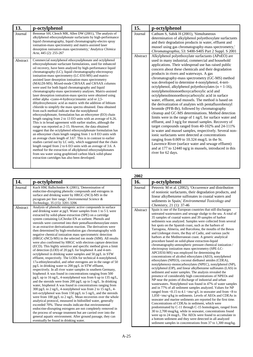| 13.      | p-octylphenol                                                                                                                                                                                                                                                                                                                                                                                                                                                                                                                                                                                                                                                                                                                                                                                                                                                                                                                                                                                                                                                                                                                                                                                                                                                                                                                                                                                                                                                                                                                                                                                                                    |
|----------|----------------------------------------------------------------------------------------------------------------------------------------------------------------------------------------------------------------------------------------------------------------------------------------------------------------------------------------------------------------------------------------------------------------------------------------------------------------------------------------------------------------------------------------------------------------------------------------------------------------------------------------------------------------------------------------------------------------------------------------------------------------------------------------------------------------------------------------------------------------------------------------------------------------------------------------------------------------------------------------------------------------------------------------------------------------------------------------------------------------------------------------------------------------------------------------------------------------------------------------------------------------------------------------------------------------------------------------------------------------------------------------------------------------------------------------------------------------------------------------------------------------------------------------------------------------------------------------------------------------------------------|
| Journal  | Benomar SH, Clench MR, Allen DW (2001), 'The analysis of<br>alkylphenol ethoxysulphonate surfactants by high-performance<br>liquid chromatography, liquid chromatography-electro spray<br>ionisation-mass spectrometry and matrix-assisted laser<br>desorption ionisation-mass spectrometry,' Analytica Chimica<br>Acta, 445 (2): 255-267                                                                                                                                                                                                                                                                                                                                                                                                                                                                                                                                                                                                                                                                                                                                                                                                                                                                                                                                                                                                                                                                                                                                                                                                                                                                                        |
| Abstract | Commercial nonylphenol ethoxysulphonate and octylphenol<br>ethoxysulphonate surfactant formulations, used for enhanced<br>oil recovery, have been analysed by high-performance liquid<br>chromatography (LC), liquid chromatography-electrospray<br>ionisation-mass spectrometry (LC-ESI-MS) and matrix-<br>assisted laser desorption ionisation-mass spectrometry<br>(MALDI-MS). Mixed-mode Cl8/SAX and C8/SAX columns<br>were used for both liquid chromatography and liquid<br>chromatography-mass spectrometry analyses. Matrix-assisted<br>laser desorption ionisation-mass spectra were obtained using<br>either alpha -cyano-4-hydroxycinnamic acid or 2,5-<br>dihydroxybenzoic acid as matrix with the addition of lithium<br>chloride to simplify the mass spectra obtained. Data obtained<br>from each method indicate that the nonylphenol<br>ethoxysulphonate, formulation has an ethoxymer (EO) chain<br>length ranging from 2 to 13 EO units with an average of 6.26.<br>This is in broad agreement with earlier studies, although the<br>range was reported as 2-15. However, the data obtained<br>suggest that the octylphenol ethoxysulphonate formulation has<br>an ethoxymer chain length ranging from 1 to 8 EO units with<br>an average chain length of 3.67. This is in contrast to earlier<br>studies carried out by LC only, which suggested that the chain<br>length ranged from 2 to 6 EO units with an average of 3.6. A<br>method for the extraction of alkylphenol ethoxysulphonates<br>from sea water using graphitised carbon black solid-phase<br>extraction cartridges has also been developed. |

| 14.                 | p-octylphenol                                                                                                                                                                                                                                                                                                                                                                                                                                                                                                                                                                                                                                                                                                                                                                                                                                                                                                                                                                                                                                                                                                                                                                                                                                                                                                                                                                                                                                                                                                                                                                                                                                                                                                                                                                                                                                                                   |
|---------------------|---------------------------------------------------------------------------------------------------------------------------------------------------------------------------------------------------------------------------------------------------------------------------------------------------------------------------------------------------------------------------------------------------------------------------------------------------------------------------------------------------------------------------------------------------------------------------------------------------------------------------------------------------------------------------------------------------------------------------------------------------------------------------------------------------------------------------------------------------------------------------------------------------------------------------------------------------------------------------------------------------------------------------------------------------------------------------------------------------------------------------------------------------------------------------------------------------------------------------------------------------------------------------------------------------------------------------------------------------------------------------------------------------------------------------------------------------------------------------------------------------------------------------------------------------------------------------------------------------------------------------------------------------------------------------------------------------------------------------------------------------------------------------------------------------------------------------------------------------------------------------------|
| Journal<br>Abstract | Kuch HM, Ballschmiter K (2001), 'Determination of<br>endocrine-disrupting phenolic compounds and estrogens in<br>surface and drinking water by HRGC-(NCI)-MS in the<br>picogram per liter range,' Environmental Science &<br>Technology, 35 (15): 3201-3206<br>Analysis of phenolic estrogenic active compounds in surface                                                                                                                                                                                                                                                                                                                                                                                                                                                                                                                                                                                                                                                                                                                                                                                                                                                                                                                                                                                                                                                                                                                                                                                                                                                                                                                                                                                                                                                                                                                                                      |
|                     | and drinking water at pg/l. Water samples from 1 to 5 L were<br>extracted by solid-phase extraction (SPE) on a cartridge<br>system containing LiChrolut EN as sorbent. Phenols and<br>steroids were converted into their pentafluorobenzoylate esters<br>in an extractive derivatization reaction. The derivatives were<br>then determined by high-resolution gas chromatography with<br>negative chemical ionization mass spectrometric detection<br>(HRGC-(NCl)-MS) in the selected ion mode (SIM). All results<br>were also confirmed by HRGC with electron capture detection<br>(ECD). This highly sensitive and specific method gives a limit<br>of detection (LOD) of 20 pg/L for bisphenol A and 4-tert-<br>octylphenol in drinking water samples and 50 pg/L in STW<br>effluent, respectively. The LODs for technical 4-nonylphenol,<br>17a-ethinylestradiol, and other estrogens are in the range of 50<br>$pg/L$ in drinking water to 200 pg/L in STW effluent,<br>respectively. In all river water samples in southern Germany,<br>bisphenol A was found in concentrations ranging from 500<br>$pg/L$ up to 16 ng/L, 4-nonylphenol was from 6 up to 135 ng/L,<br>and the steroids were from 200 pg/L up to 5 ng/L. In drinking<br>water, bisphenol A was found in concentrations ranging from<br>300 pg/L to 2 ng/L, 4-nonylphenol was from 2 to 15 ng/L, 4-<br>tert-octylphenol was from 150 pg/L to 5 ng/L, and the steroids<br>were from 100 pg/L to 2 ng/L. Mean recoveries over the whole<br>analytical protocol, measured in bidistilled water, generally<br>exceeded 70%. These results indicate that environmental<br>endocrine-disrupting estrogens are not completely removed in<br>the process of sewage treatment but are carried over into the<br>general aquatic environment. After ground passage, they can<br>eventually be found in drinking water. |

| 15.      | p-octylphenol                                                     |
|----------|-------------------------------------------------------------------|
| Journal  | Cathum S, Sabik H (2001), 'Simultaneous                           |
|          | determination of alkylphenol polyethoxylate surfactants           |
|          | and their degradation products in water, effluent and             |
|          | mussel using gas chromatography-mass spectrometry,'               |
|          | Chromatographia, 53: S400-S405 Part 2 Suppl. S 2001               |
| Abstract | Alkylphenol polyethoxylate surfactants (APnEO) are                |
|          | used in many industrial, commercial and household                 |
|          | applications. Their widespread use has raised public              |
|          | concern about these chemicals and their degradation               |
|          | products in rivers and waterways. A gas                           |
|          | chromatography-mass spectrometry (GC-MS) method                   |
|          | was developed to determine 4-nonylphenol, 4-tert-                 |
|          | octylphenol, alkylphenol polyethoxylates ( $n = 1-16$ ),          |
|          | nonylphenolmonoethoxycarboxylic acid and                          |
|          | octylphenolmonoethoxycarboxylic acid in surface                   |
|          | water, effluent, and mussels. The method is based on              |
|          | the derivatization of analytes with pentafluorobenzyl             |
|          | bromide (PFB-Br), followed by chromatography                      |
|          | cleanup and GC-MS determinations. Method detection                |
|          | limits were in the range of 1 ng/L for surface water and          |
|          | effluent, and 3 ng/g for mussel samples. Recovery of              |
|          | target compounds ranged from 40-102% and 24-111%                  |
|          | in water and mussel samples, respectively. Several non-           |
|          | ionic surfactants were detected at concentrations                 |
|          | ranging from 0.009 to 10.324 mug/L in the St.                     |
|          | Lawrence River (surface water and sewage effluent)                |
|          | and at 177 to 12440 $\frac{ng}{g}$ in mussels, introduced in this |
|          | river for 62 days.                                                |
|          |                                                                   |

| 16.      | p-octylphenol                                                                                                                                                                                                                                                                                                                                                                                                                                                                                                                                                                                                                                                                                                                                                                                                                                                                                                                                                                                                                                                                                                                                                                                                                                                                                                                                                                                                                                                                                                                                                                                                                                                                                                                                                                                                                                                                         |
|----------|---------------------------------------------------------------------------------------------------------------------------------------------------------------------------------------------------------------------------------------------------------------------------------------------------------------------------------------------------------------------------------------------------------------------------------------------------------------------------------------------------------------------------------------------------------------------------------------------------------------------------------------------------------------------------------------------------------------------------------------------------------------------------------------------------------------------------------------------------------------------------------------------------------------------------------------------------------------------------------------------------------------------------------------------------------------------------------------------------------------------------------------------------------------------------------------------------------------------------------------------------------------------------------------------------------------------------------------------------------------------------------------------------------------------------------------------------------------------------------------------------------------------------------------------------------------------------------------------------------------------------------------------------------------------------------------------------------------------------------------------------------------------------------------------------------------------------------------------------------------------------------------|
| Journal  | Petrovic M et al. (2002), 'Occurrence and distribution<br>of nonionic surfactants, their degradation products, and<br>linear alkylbenzene sulfonates in coastal waters and<br>sediments in Spain,' <i>Environmental Toxicology and</i><br>Chemistry, 21 (1): 37-46                                                                                                                                                                                                                                                                                                                                                                                                                                                                                                                                                                                                                                                                                                                                                                                                                                                                                                                                                                                                                                                                                                                                                                                                                                                                                                                                                                                                                                                                                                                                                                                                                    |
| Abstract | Spain is one of the European countries that still discharges<br>untreated wastewaters and sewage sludge to the sea. A total of<br>35 samples of coastal waters and 39 samples of harbor<br>sediments was analyzed. Samples were collected from several<br>hot spots on the Spanish coast, such as the harbors of<br>Tarragona, Almeria, and Barcelona, the mouths of the Besos<br>and Llobregat rivers, the Bay of Cadiz, and various yacht<br>harbors at the Mediterranean coast. A generic analytical<br>procedure based on solid-phase extraction-liquid<br>chromatography-atmospheric pressure chemical ionization /<br>electrospray ionization mass spectrometry (SPE-LC-<br>APCI/ESI-MS) was employed for determining the<br>concentrations of alcohol ethoxylates (AEO), nonylphenol<br>ethoxylates (NPEO), coconut diethanol amides (CDEA),<br>nonylphenoxy-monocarboxylates (NPEC), nonylphenol (NP),<br>octylphenol (OP), and linear alkylbenzene sulfonates (LAS) in<br>sediment and water samples. The analysis revealed the<br>presence of considerably high concentrations of NPEOs and<br>NP near the points of discharge of industrial and urban<br>wastewaters. Nonylphenol was found in 47% of water samples<br>and in 77% of all sediment samples analyzed. Values for NP<br>ranged from <0.15 to 4.1 <mu>g/L in seawater and from &lt;8 to<br/>1,050 <mu>g/kg in sediments. Levels of AEOs and CDEAs in<br/>seawater and marine sediments are reported for the first time.<br/>Concentrations of CDEAs in sediment, which were<br/>predominated by C-11 through C-15 homologues, ranged from<br/>30 to 2,700 mug/kg, while in seawater, concentrations found<br/>were up to 24 mug/L. The AEOs were found to accumulate in<br/>a bottom sediment and they were detected in all analyzed<br/>sediment samples in concentrations from 37 to 1,300 mug/kg.</mu></mu> |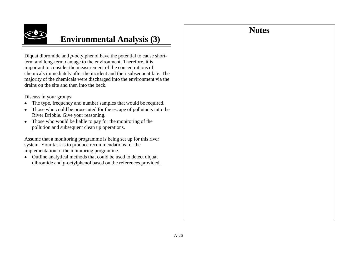# **Notes**



# **Environmental Analysis (3)**

Diquat dibromide and *p-*octylphenol have the potential to cause shortterm and long-term damage to the environment. Therefore, it is important to consider the measurement of the concentrations of chemicals immediately after the incident and their subsequent fate. The majority of the chemicals were discharged into the environment via the drains on the site and then into the beck.

Discuss in your groups:

- The type, frequency and number samples that would be required.
- Those who could be prosecuted for the escape of pollutants into the River Dribble. Give your reasoning.
- Those who would be liable to pay for the monitoring of the pollution and subsequent clean up operations.

Assume that a monitoring programme is being set up for this river system. Your task is to produce recommendations for the implementation of the monitoring programme.

Outline analytical methods that could be used to detect diquat dibromide and *p-*octylphenol based on the references provided.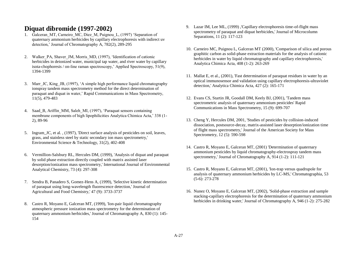### **Diquat dibromide (1997-2002)**

- 1. Galceran\_MT, Carneiro\_MC, Diez\_M, Puignou\_L, (1997) "Separation of quaternary ammonium herbicides by capillary electrophoresis with indirect uv detection,' Journal of Chromatography A, 782(2), 289-295
- 2. Walker PA, Shaver JM, Morris MD, (1997), 'Identification of cationic herbicides in deionized water, municipal tap water, and river water by capillary isota-chophoresis / on-line raman spectroscopy," Applied Spectroscopy, 51(9), 1394-1399
- 3. Marr JC, King JB, (1997), 'A simple high performance liquid chromatography ionspray tandem mass spectrometry method for the direct determination of paraquat and diquat in water," Rapid Communications in Mass Spectrometry, 11(5), 479-483
- 4. Saad\_B, Ariffin\_MM, Saleh\_MI, (1997), "Paraquat sensors containing membrane components of high lipophilicities Analytica Chimica Acta,' 338 (1-2), 89-96
- 5. Ingram\_JC, et al. , (1997), 'Direct surface analysis of pesticides on soil, leaves, grass, and stainless steel by static secondary ion mass spectrometry,' Environmental Science & Technology, 31(2), 402-408
- 6. Vermillion-Salsbury RL, Hercules DM, (1999), 'Analysis of diquat and paraquat by solid phase extraction directly coupled with matrix assisted laser desorption/ionization mass spectrometry,' International Journal of Environmental Analytical Chemistry, 73 (4): 297-308
- 7. Sendra B, Panadero S, Gomez-Hens A, (1999), 'Selective kinetic determination of paraquat using long-wavelength fluorescence detection,' Journal of Agricultural and Food Chemistry,' 47 (9): 3733-3737
- 8. Castro R, Moyano E, Galceran MT, (1999), 'Ion-pair liquid chromatography atmospheric pressure ionization mass spectrometry for the determination of quaternary ammonium herbicides,' Journal of Chromatography A, 830 (1): 145- 154
- 9. Lazar IM, Lee ML, (1999) ,'Capillary electrophoresis time-of-flight mass spectrometry of paraquat and diquat herbicides,' Journal of Microcolumn Separations, 11 (2): 117-123
- 10. Carneiro MC, Puignou L, Galceran MT (2000), 'Comparison of silica and porous graphitic carbon as solid-phase extraction materials for the analysis of cationic herbicides in water by liquid chromatography and capillary electrophoresis,' Analytica Chimica Acta, 408 (1-2): 263-269
- 11. Mallat E, et al., (2001), 'Fast determination of paraquat residues in water by an optical immunosensor and validation using capillary electrophoresis-ultraviolet detection,' Analytica Chimica Acta, 427 (2): 165-171
- 12. Evans CS, Startin JR, Goodall DM, Keely BJ, (2001), 'Tandem mass spectrometric analysis of quaternary ammonium pesticides' Rapid Communications in Mass Spectrometry, 15 (9): 699-707
- 13. Cheng Y, Hercules DM, 2001, 'Studies of pesticides by collision-induced dissociation, postsource-decay, matrix-assisted laser desorption/ionization time of flight mass spectrometry,' Journal of the American Society for Mass Spectrometry, 12 (5): 590-598
- 14. Castro R, Moyano E, Galceran MT, (2001) 'Determination of quaternary ammonium pesticides by liquid chromatography-electrospray tandem mass spectrometry,' Journal of Chromatography A, 914 (1-2): 111-121
- 15. Castro R, Moyano E, Galceran MT, (2001), 'Ion-trap versus quadrupole for analysis of quaternary ammonium herbicides by LC-MS,' Chromatographia, 53 (5-6): 273-278
- 16. Nunez O, Moyano E, Galceran MT, (2002), 'Solid-phase extraction and sample stacking-capillary electrophoresis for the determination of quaternary ammonium herbicides in drinking water,' Journal of Chromatography A, 946 (1-2): 275-282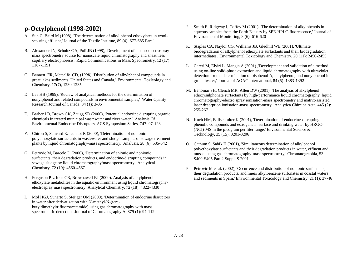## **p-Octylphenol (1998-2002)**

- A. Sun C, Baird M (1998), 'The determination of alkyl phenol ethoxylates in woolscouring effluent,' Journal of the Textile Institute, 89 (4): 677-685 Part 1
- B. Alexander JN, Schultz GA, Poli JB (1998), 'Development of a nano-electrospray mass spectrometry source for nanoscale liquid chromatography and sheathless capillary electrophoresis,' Rapid Communications in Mass Spectrometry, 12 (17): 1187-1191
- C. Bennett ER, Metcalfe CD, (1998) 'Distribution of alkylphenol compounds in great lakes sediments, United States and Canada," Environmental Toxicology and Chemistry, 17(7), 1230-1235
- D. Lee HB (1999), 'Review of analytical methods for the determination of nonylphenol and related compounds in environmental samples,' Water Quality Research Journal of Canada, 34 (1): 3-35
- E. Barber LB, Brown GK, Zaugg SD (2000), 'Potential endocrine disrupting organic chemicals in treated municipal wastewater and river water.' Analysis Of Environmental Endocrine Disruptors, ACS Symposium Series, 747: 97-123
- F. Chiron S, Sauvard E, Jeannot R (2000), 'Determination of nonionic polyethoxylate surfactants in wastewater and sludge samples of sewage treatment plants by liquid chromatography-mass spectrometry,' Analusis, 28 (6): 535-542
- G. Petrovic M, Barcelo D (2000), 'Determination of anionic and nonionic surfactants, their degradation products, and endocrine-disrupting compounds in sewage sludge by liquid chromatography/mass spectrometry,' Analytical Chemistry, 72 (19): 4560-4567
- H. Ferguson PL, Iden CR, Brownawell BJ (2000), Analysis of alkylphenol ethoxylate metabolites in the aquatic environment using liquid chromatographyelectrospray mass spectrometry, Analytical Chemistry, 72 (18): 4322-4330
- I. Mol HGJ, Sunarto S, Steijger OM (2000), 'Determination of endocrine disruptors in water after derivatization with N-methyl-N-(tert. butyldimethyltrifluoroacetamide) using gas chromatography with mass spectrometric detection,' Journal of Chromatography A, 879 (1): 97-112
- J. Smith E, Ridgway I, Coffey M (2001), 'The determination of alkylphenols in aqueous samples from the Forth Estuary by SPE-HPLC-fluorescence,' Journal of Environmental Monitoring, 3 (6): 616-620
- K. Staples CA, Naylor CG, Williams JB, Gledhill WE (2001), 'Ultimate biodegradation of alkylphenol ethoxylate surfactants and their biodegradation intermediates,' Environmental Toxicology and Chemistry, 20 (11): 2450-2455
- L. Careri M, Elviri L, Mangia A (2001) ,'Development and validation of a method using on-line solid-phase extraction and liquid chromatography with ultraviolet detection for the determination of bisphenol A, octylphenol, and nonylphenol in groundwater,' Journal of AOAC International, 84 (5): 1383-1392
- M. Benomar SH, Clench MR, Allen DW (2001), 'The analysis of alkylphenol ethoxysulphonate surfactants by high-performance liquid chromatography, liquid chromatography-electro spray ionisation-mass spectrometry and matrix-assisted laser desorption ionisation-mass spectrometry,' Analytica Chimica Acta, 445 (2): 255-267
- N. Kuch HM, Ballschmiter K (2001), 'Determination of endocrine-disrupting phenolic compounds and estrogens in surface and drinking water by HRGC- (NCI)-MS in the picogram per liter range, Environmental Science  $\&$ Technology, 35 (15): 3201-3206
- O. Cathum S, Sabik H (2001), 'Simultaneous determination of alkylphenol polyethoxylate surfactants and their degradation products in water, effluent and mussel using gas chromatography-mass spectrometry,' Chromatographia, 53: S400-S405 Part 2 Suppl. S 2001
- P. Petrovic M et al. (2002), 'Occurrence and distribution of nonionic surfactants, their degradation products, and linear alkylbenzene sulfonates in coastal waters and sediments in Spain,' Environmental Toxicology and Chemistry, 21 (1): 37-46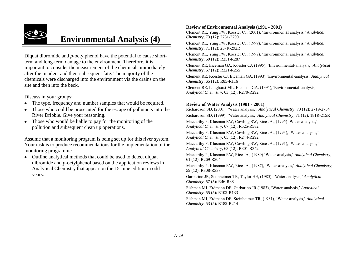

# **Environmental Analysis (4)**

Diquat dibromide and *p-*octylphenol have the potential to cause shortterm and long-term damage to the environment. Therefore, it is important to consider the measurement of the chemicals immediately after the incident and their subsequent fate. The majority of the chemicals were discharged into the environment via the drains on the site and then into the beck.

Discuss in your groups:

- The type, frequency and number samples that would be required.
- Those who could be prosecuted for the escape of pollutants into the  $\bullet$ River Dribble. Give your reasoning.
- Those who would be liable to pay for the monitoring of the  $\bullet$ pollution and subsequent clean up operations.

Assume that a monitoring program is being set up for this river system. Your task is to produce recommendations for the implementation of the monitoring programme.

Outline analytical methods that could be used to detect diquat dibromide and *p-*octylphenol based on the application reviews in Analytical Chemistry that appear on the 15 June edition in odd years.

#### **Review of Environmental Analysis (1991 - 2001)**

Clement RE, Yang PW, Koester CJ, (2001), "Environmental analysis," *Analytical Chemistry*, 73 (12): 2761-2790

Clement RE, Yang PW, Koester CJ, (1999), "Environmental analysis," *Analytical Chemistry*, 71 (12): 257R-292R

Clement RE, Yang PW, Koester CJ, (1997), "Environmental analysis," *Analytical Chemistry*, 69 (12): R251-R287

Clement RE, Eiceman GA, Koester CJ, (1995), "Environmental**-**analysis," *Analytical Chemistry*, 67 (12): R221-R255

Clement RE, Koester CJ, Eiceman GA, (1993), 'Environmental**-**analysis,' *Analytical Chemistry*, 65 (12): R85-R116

Clement RE, Langhorst ML, Eiceman GA, (1991), 'Environmental**-**analysis,' *Analytical Chemistry*, 63 (12): R270-R292

#### **Review of Water Analysis (1981 - 2001)**

Richardson SD, (2001), "Water analysis,", *Analytical Chemistry*, 73 (12): 2719-2734 Richardson SD, (1999), "Water analysis," *Analytical Chemistry*, 71 (12): 181R-215R Maccarthy P, Klusman RW, Cowling SW, Rice JA,, (1995) "Water **a**nalysis," *Analytical Chemistry*, 67 (12): R525-R582

Maccarthy P, Klusman RW, Cowling SW, Rice JA,, (1993), "Water **a**nalysis," *Analytical Chemistry*, 65 (12): R244-R292

Maccarthy P, Klusman RW, Cowling SW, Rice JA,, (1991), "Water **a**nalysis," *Analytical Chemistry*, 63 (12): R301-R342

Maccarthy P, Klusman RW, Rice JA,, (1989) "Water **a**nalysis," *Analytical Chemistry*, 61 (12): R269-R304

Maccarthy P, Klusman RW, Rice JA,, (1987), "Water **a**nalysis," *Analytical Chemistry*, 59 (12): R308-R337

Garbarino JR, Steinheimer TR, Taylor HE, (1985), "Water **a**nalysis," *Analytical Chemistry*, 57 (5): R46-R88

Fishman MJ, Erdmann DE, Garbarino JR,(1983), "Water **a**nalysis," *Analytical Chemistry*, 55 (5): R102-R133

Fishman MJ, Erdmann DE, Steinheimer TR, (1981), "Water **a**nalysis," *Analytical Chemistry*, 53 (5): R182-R214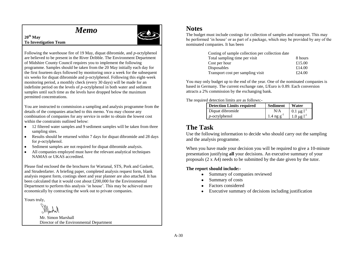# *Memo*



#### **20th May To Investigation Team**

Following the warehouse fire of 19 May, diquat dibromide, and *p-*octylphenol are believed to be present in the River Dribble. The Environment Department of Midshire County Council requires you to implement the following programme. Samples should be taken from the 20 May initially each day for the first fourteen days followed by monitoring once a week for the subsequent six weeks for diquat dibromide and p-octylphenol. Following this eight-week monitoring period, a monthly check (every 30 days) will be made for an indefinite period on the levels of *p-*octylphenol in both water and sediment samples until such time as the levels have dropped below the maximum permitted concentrations.

You are instructed to commission a sampling and analysis programme from the details of the companies attached to this memo. You may choose any combination of companies for any service in order to obtain the lowest cost within the constraints outlined below:

- 12 filtered water samples and 9 sediment samples will be taken from three sampling sites.
- Results should be returned within 7 days for diquat dibromide and 28 days for *p*-octylphenol.
- Sediment samples are not required for diquat dibromide analysis.
- All companies employed must have the relevant analytical techniques NAMAS or UKAS accredited.

Please find enclosed the the brochures for Wartanal, STS, Pork and Gaskett, and Strudenfarter. A briefing paper, completed analysis request form, blank analysis request form, costings sheet and year planner are also attached. It has been calculated that it would cost about £200,000 for the Environmental Department to perform this analysis 'in house'. This may be achieved more economically by contracting the work out to private companies.

Yours truly,

Mr. Simon Marshall Director of the Environmental Department

### **Notes**

The budget must include costings for collection of samples and transport. This may be performed "in house" or as part of a package, which may be provided by any of the nominated companies. It has been

| Costing of sample collection per collection date |         |
|--------------------------------------------------|---------|
| Total sampling time per visit                    | 8 hours |
| Cost per hour                                    | £15.00  |
| Disposables                                      | £14.00  |
| Transport cost per sampling visit                | £24.00  |

You may only budget up to the end of the year. One of the nominated companies is based in Germany. The current exchange rate, £/Euro is 0.89. Each conversion attracts a 2% commission by the exchanging bank.

The required detection limits are as follows:-

| Detection Limits required | <b>Sediment</b>         | Water                            |
|---------------------------|-------------------------|----------------------------------|
| Diquat dibromide          | N/A                     | $0.1 \mu g l^{-1}$               |
| $p$ -octylphenol          | $1.4 \text{ ng g}^{-1}$ | $1.0 \,\mu g \,$ l <sup>-1</sup> |

## **The Task**

Use the following information to decide who should carry out the sampling and the analysis programme.

When you have made your decision you will be required to give a 10-minute presentation justifying **all** your decisions. An executive summary of your proposals (2 x A4) needs to be submitted by the date given by the tutor.

#### **The report should include:-**

- Summary of companies reviewed  $\bullet$
- Summary of costs
- Factors considered
- Executive summary of decisions including justification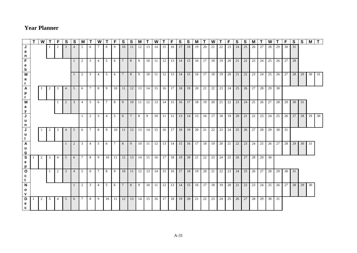|                                              | T <sub>1</sub> | W l |                 |         | S.              | <b>S</b>       | M               |                 | W              |                | F.  | S.                                     | S.             | M              |                               | W  |    | F    | S. | S. | м  |    | W  |                                             | F. | S        | S         | м                 |          | W            |    | F                                | S  | S     | M          | $\mathbf{T}$ |
|----------------------------------------------|----------------|-----|-----------------|---------|-----------------|----------------|-----------------|-----------------|----------------|----------------|-----|----------------------------------------|----------------|----------------|-------------------------------|----|----|------|----|----|----|----|----|---------------------------------------------|----|----------|-----------|-------------------|----------|--------------|----|----------------------------------|----|-------|------------|--------------|
| J<br>a<br>n                                  |                |     |                 | 2       | 3               | $\overline{4}$ | 5               | 6               |                | 8              | -9  | 10                                     | 11             | 12             | 13                            | 14 | 15 | 16 l | 17 | 18 | 19 | 20 | 21 | 22                                          | 23 | 24       | 25        | 26                | 27       | 28           | 29 | 30                               | 31 |       |            |              |
| F<br>e<br>$\mathbf b$                        |                |     |                 |         |                 | $\mathbf{1}$   | 2               | $\mathbf{3}$    | $\overline{4}$ | 5              | 6   | $7\phantom{0}$                         | 8 <sup>1</sup> | 9              |                               |    |    |      |    |    |    |    |    | 10 11 12 13 14 15 16 17 18 19 20 21         |    |          | 22        | 23 l              | 24       |              |    | 25 26 27 28                      |    |       |            |              |
| M<br>а<br>$\mathbf{r}$                       |                |     |                 |         |                 | $1 \quad$      | 2               | $\overline{3}$  | $\sqrt{4}$     | $\overline{5}$ | 6 I | 7 I                                    | 8 <sup>1</sup> | 9 <sup>1</sup> |                               |    |    |      |    |    |    |    |    | 10 11 12 13 14 15 16 17 18 19 20 21         |    |          | 22        |                   |          |              |    | 23   24   25   26   27   28   29 |    |       | 30 31      |              |
| $\mathsf{A}$<br>p<br>r.                      |                |     |                 | 3       | $\overline{4}$  | 5 <sup>5</sup> | 6               | $7\overline{ }$ | 8              | 9 <sup>1</sup> |     | 10 11 12 13 14 15 16 17 18 19 20 21 22 |                |                |                               |    |    |      |    |    |    |    |    | 23 24 25                                    |    |          |           | $26 \mid 27 \mid$ |          | 28 29 30     |    |                                  |    |       |            |              |
| M<br>а<br>$\mathbf{y}$                       |                |     |                 | $\perp$ | 2               | $\overline{3}$ | 4               | 5               | 6              | $7\phantom{0}$ | 8   | 9                                      |                |                |                               |    |    |      |    |    |    |    |    | 10 11 2 3 3 4 5 6 7 8 7 8 7 9 20 21 22 23   |    |          | 24        | 25                |          |              |    | 26 27 28 29 30 31                |    |       |            |              |
| $\overline{\mathsf{J}}$<br>$\mathbf{u}$<br>n |                |     |                 |         |                 |                | $\mathbf{1}$    | 2               | 3              | 4              | 5   | 6                                      | $7\phantom{0}$ | 8              |                               |    |    |      |    |    |    |    |    | 9 10 11 12 13 14 15 16 17 18 19 20          |    |          | 21        |                   |          |              |    | 22 23 24 25 26 27                |    | 28    | 29 30      |              |
| J<br>u                                       |                |     |                 | 3       | $\overline{4}$  | 5              | 6               | 7 <sup>1</sup>  | 8              | 9              |     | 10 11 12 13 14 15 16 17 18 19 20       |                |                |                               |    |    |      |    |    |    | 21 | 22 |                                             |    | 23 24 25 | 26        | 27                |          | 28 29 30 31  |    |                                  |    |       |            |              |
| $\mathsf{A}$<br>u<br>g                       |                |     |                 |         | $\overline{1}$  | 2              | $\mathbf{3}$    | $\overline{4}$  | 5              | 6              | 7 I | 8                                      | 9              |                | 10 11 12 13 14 15 16 17 18 19 |    |    |      |    |    |    |    |    | 20 21                                       |    | 22       | 23        | 24                | 25       | $26 \mid 27$ |    | 28                               | 29 | 30 31 |            |              |
| $\mathbf{s}$<br>e<br>p                       |                | 2   | 3               | 4       | $5\overline{)}$ | 6              | $7\phantom{0}$  | 8               | $\frac{1}{9}$  |                |     | 10 11 12 13 14 15 16 17 18 19 20 21    |                |                |                               |    |    |      |    |    |    | 22 | 23 |                                             |    | 24 25 26 | 27        |                   | 28 29 30 |              |    |                                  |    |       |            |              |
| $\mathbf{o}$<br>C<br>t                       |                |     | $\vert 1 \vert$ | 2       | $\overline{3}$  | $\overline{4}$ | 5               | 6               | $7\phantom{0}$ |                | 891 |                                        |                |                |                               |    |    |      |    |    |    |    |    | 10 11 2 13 14 15 16 17 18 19 20 21 22 23 24 |    |          | $25 \mid$ |                   |          |              |    | 26 27 28 29 30 31                |    |       |            |              |
| $\mathbf N$<br>$\mathbf{o}$<br>v             |                |     |                 |         |                 | $\mathbf{1}$   | 2               | $\overline{3}$  | 4              | $5-1$          | 6   | 7                                      | 8 <sup>1</sup> |                |                               |    |    |      |    |    |    |    |    | 9 10 11 12 13 14 15 16 17 18 19 20 21       |    |          | 22        |                   |          | 23 24 25 26  |    | 27 28                            |    | 29    | $\vert$ 30 |              |
| D<br>e<br>c                                  |                | 2   | 3               | 4       | $\vert 5 \vert$ | 6              | $7\overline{ }$ | 8               | 9              |                |     | $10 \mid 11 \mid 12 \mid$              | 13             |                | 14 15 16 17 18 19 20 21       |    |    |      |    |    |    | 22 | 23 | 24 25                                       |    | 26       | 27        | 28 I              |          | 29 30 31     |    |                                  |    |       |            |              |

## **Year Planner**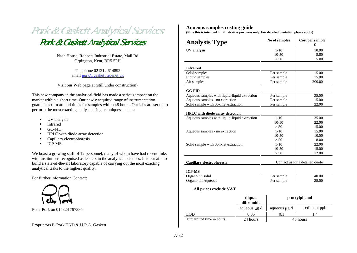

Nash House, Robbets Industrial Estate, Mail Rd Orpington, Kent, BR5 5PH

> Telephone 021212 614892 email [pork@gaskett.truenet.uk](mailto:pork@gaskett.bluenet.uk)

Visit our Web page at (still under construction)

This new company in the analytical field has made a serious impact on the market within a short time. Our newly acquired range of instrumentation guarantees turn around times for samples within 48 hours. Our labs are set up to perform the most exacting analysis using techniques such as:

- UV analysis
- Infrared
- GC-FID
- HPLC with diode array detection
- **Capillary electrophoresis**
- **ICP-MS**

We boast a growing staff of 12 personnel, many of whom have had recent links with institutions recognised as leaders in the analytical sciences. It is our aim to build a state-of-the-art laboratory capable of carrying out the most exacting analytical tasks to the highest quality.

For further information Contact:



Peter Pork on 015324 797395

#### Proprietors P. Pork HND & U.R.A. Gaskett

#### **Aqueous samples costing guide**

**(Note this is intended for illustrative purposes only. For detailed quotation please apply)**

| <b>Analysis Type</b>                          | No of samples | Cost per sample<br>£            |
|-----------------------------------------------|---------------|---------------------------------|
| UV analysis                                   | $1 - 10$      | 10.00                           |
|                                               | $10-50$       | 8.00                            |
|                                               | > 50          | 5.00                            |
|                                               |               |                                 |
| Infra red                                     |               |                                 |
| Solid samples                                 | Per sample    | 15.00                           |
| Liquid samples                                | Per sample    | 15.00                           |
| Air samples                                   | Per sample    | 200.00                          |
| <b>GC-FID</b>                                 |               |                                 |
| Aqueous samples with liquid-liquid extraction | Per sample    | 35.00                           |
| Aqueous samples - no extraction               | Per sample    | 15.00                           |
| Solid sample with Soxhlet extraction          | Per sample    | 22.00                           |
|                                               |               |                                 |
| <b>HPLC</b> with diode array detection        |               |                                 |
| Aqueous samples with liquid-liquid extraction | $1 - 10$      | 35.00                           |
|                                               | $10-50$       | 22.00                           |
|                                               | > 50          | 15.00                           |
| Aqueous samples - no extraction               | $1 - 10$      | 15.00                           |
|                                               | $10-50$       | 10.00                           |
|                                               | > 50          | 8.00                            |
| Solid sample with Sohxlet extraction          | $1 - 10$      | 22.00                           |
|                                               | 10-50         | 15.00                           |
|                                               | > 50          | 12.00                           |
| Capillary electrophoresis                     |               | Contact us for a detailed quote |
|                                               |               |                                 |
| <b>ICP-MS</b>                                 |               |                                 |
| Organo tin solid                              | Per sample    | 40.00                           |
| Organo tin Aqueous                            | Per sample    | 25.00                           |
| All prices exclude VAT                        |               |                                 |

|                          | diquat<br>dibromide |                   | p-octylphenol |
|--------------------------|---------------------|-------------------|---------------|
|                          | aqueous $\mu$ g /   | aqueous $\mu$ g / | sediment ppb  |
| <b>LOD</b>               | 0.05                | 0.1               |               |
| Turnaround time in hours | 24 hours            |                   | 48 hours      |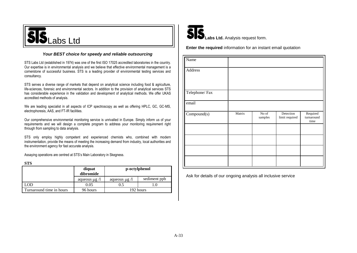# $SIS_{\text{Labs Ltd}}$

#### *Your BEST choice for speedy and reliable outsourcing*

STS Labs Ltd (established in 1974) was one of the first ISO 17025 accredited laboratories in the country. Our expertise is in environmental analysis and we believe that effective environmental management is a cornerstone of successful business. STS is a leading provider of environmental testing services and consultancy.

STS serves a diverse range of markets that depend on analytical science including food & agriculture, life-sciences, forensic and environmental sectors. In addition to the provision of analytical services STS has considerable experience in the validation and development of analytical methods. We offer UKAS accredited methods of analysis.

We are leading specialist in all aspects of ICP spectroscopy as well as offering HPLC, GC, GC-MS, electrophoresis, AAS, and FT-IR facilities.

Our comprehensive environmental monitoring service is unrivalled in Europe. Simply inform us of your requirements and we will design a complete program to address your monitoring requirement right through from sampling to data analysis.

STS only employ highly competent and experienced chemists who, combined with modern instrumentation, provide the means of meeting the increasing demand from industry, local authorities and the environment agency for fast accurate analysis.

Assaying operations are centred at STS's Main Laboratory in Skegness.

**STS**

|                          | diquat<br>dibromide | p-octylphenol      |              |
|--------------------------|---------------------|--------------------|--------------|
|                          | aqueous $\mu$ g /   | aqueous $\mu$ g /l | sediment ppb |
|                          | 0.05                | 0.5                |              |
| Turnaround time in hours | 96 hours            |                    | 192 hours    |



**Enter the required** information for an instant email quotation

| Name          |        |                  |                             |                                |
|---------------|--------|------------------|-----------------------------|--------------------------------|
| Address       |        |                  |                             |                                |
| Telephone/Fax |        |                  |                             |                                |
| email         |        |                  |                             |                                |
| Compound(s)   | Matrix | No of<br>samples | Detection<br>limit required | Required<br>turnaround<br>time |
|               |        |                  |                             |                                |
|               |        |                  |                             |                                |
|               |        |                  |                             |                                |
|               |        |                  |                             |                                |

Ask for details of our ongoing analysis all inclusive service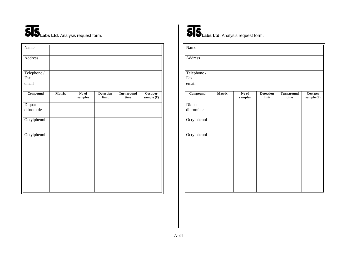# **SIS** Labs Ltd. Analysis request form.

| Name                         |               |                  |                           |                           |                              |
|------------------------------|---------------|------------------|---------------------------|---------------------------|------------------------------|
| Address                      |               |                  |                           |                           |                              |
| Telephone /<br>Fax           |               |                  |                           |                           |                              |
| email                        |               |                  |                           |                           |                              |
| $\overline{\text{Compound}}$ | <b>Matrix</b> | No of<br>samples | <b>Detection</b><br>limit | <b>Turnaround</b><br>time | $\bf Cost$ per<br>sample (£) |
| Diquat<br>dibromide          |               |                  |                           |                           |                              |
| Octylphenol                  |               |                  |                           |                           |                              |
| Octylphenol                  |               |                  |                           |                           |                              |
|                              |               |                  |                           |                           |                              |
|                              |               |                  |                           |                           |                              |
|                              |               |                  |                           |                           |                              |



| Name                |               |                                                   |                           |                           |                                      |
|---------------------|---------------|---------------------------------------------------|---------------------------|---------------------------|--------------------------------------|
| Address             |               |                                                   |                           |                           |                                      |
| Telephone /<br>Fax  |               |                                                   |                           |                           |                                      |
| email               |               |                                                   |                           |                           |                                      |
| Compound            | <b>Matrix</b> | No of<br>$\ensuremath{\textbf{\textbf{samples}}}$ | <b>Detection</b><br>limit | <b>Turnaround</b><br>time | Cost per<br>sample $(\pmb{\pounds})$ |
| Diquat<br>dibromide |               |                                                   |                           |                           |                                      |
| Octylphenol         |               |                                                   |                           |                           |                                      |
| Octylphenol         |               |                                                   |                           |                           |                                      |
|                     |               |                                                   |                           |                           |                                      |
|                     |               |                                                   |                           |                           |                                      |
|                     |               |                                                   |                           |                           |                                      |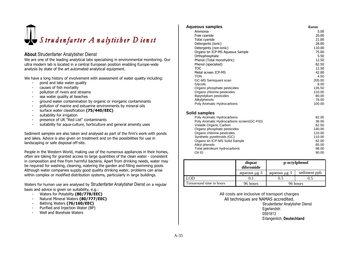

#### **About** Strudenfarter Analytisher Dienst

We are one of the leading analytical labs specialising in environmental monitoring. Our ultra modern lab is located in a central European position enabling Europe-wide analysis by state of the art automated analytical equipment.

We have a long history of involvement with assessment of water quality including:

- pond and lake water quality
- causes of fish mortality
- pollution of rivers and streams
- sea water quality at beaches
- ground water contamination by organic or inorganic contaminants
- pollution of marine and estuarine environments by mineral oils
- surface water classification **(75/440/EEC)**
- suitability for irrigation
- presence of UK "Red List" contaminants
- suitability for aqua-culture, horticulture and general amenity uses

Sediment samples are also taken and analysed as part of the firm's work with ponds and lakes. Advice is also given on treatment and on the possibilities for use in landscaping or safe disposal off-site.

People in the Western World, making use of the numerous appliances in their homes, often are taking for granted access to large quantities of the clean water - consistent in composition and free from harmful bacteria. Apart from drinking needs, water may be required for washing, cleaning, watering the garden and filling swimming pools. Although water companies supply good quality drinking water, problems can arise within complex or modified distribution systems, particularly in large buildings.

Waters for human use are analysed by Strudenfarter Analytisher Dienst on a regular basis and advice is given on suitability, e.g.:

- Waters for Potability **(80/778/EEC)**
- Natural Mineral Waters **(80/777/EEC)**
- Bathing Waters **(76/160/EEC)**
- Purified and Injection Water (BP)
- Well and Borehole Waters

| Aqueous samples                           | <b>Euros</b> |
|-------------------------------------------|--------------|
| Ammonia                                   | 5.00         |
| Free cyanide                              | 20.00        |
| Total cyanide                             | 21.00        |
| Detergents (ionic)                        | 28.00        |
| Detergents (non-ionic)                    | 110.00       |
| Organo tin ICP-MS Aqueous Sample          | 75.00        |
| Orthophosphate                            | 5.50         |
| Phenol (Total monohydric)                 | 12.50        |
| Phenol (speciated)                        | 82.50        |
| <b>TOC</b>                                | 12.50        |
| Metal screen ICP-MS                       | 42.00        |
| <b>TON</b>                                | 4.50         |
| GC-MS Semiguant scan                      | 205.00       |
| Glycols                                   | 8.00         |
| Organo phosphate pesticides               | 135.50       |
| Organo chlorine pesticides                | 110.00       |
| Bipyridylium pesticides                   | 80.00        |
| Alkylphenols                              | 78.00        |
| Poly Aromatic Hydrocarbons                | 100.00       |
| Solid samples                             |              |
| Poly Aromatic Hydrocarbons                | 82.00        |
| Poly Aromatic Hydrocarbons screen(GC-FID) | 36.00        |
| Volatile Organic Carbon                   | 82.50        |
| Organo phosphate pesticides               | 140.00       |
| Organo chlorine pesticides                | 110.00       |
| Synthetic pyrethroids (GC)                | 110.00       |
| Organo tin ICP-MS Solid Sample            | 82.00        |
| Alkyl phenols                             | 85.00        |

|                          | diquat<br>dibromide |                    | p-octylphenol |
|--------------------------|---------------------|--------------------|---------------|
|                          | aqueous $\mu$ g /   | aqueous $\mu$ g /l | sediment ppb  |
| .OD                      |                     |                    |               |
| Turnaround time in hours | 96 hours            |                    | 96 hours      |

Total petroleum hydrocarbons 98.00 Oil ID 90.00

> All costs are inclusive of transport charges All techniques are NAMAS accredited. Strudenfarter Analytisher Dienst Egerlandstr. 0591813 Erlangenlich, **Deutschland**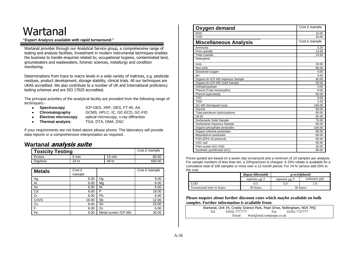# Wartanal

**"***Expert Analysis available with rapid turnaround***."**

Wartanal provides through our Analytical Service group, a comprehensive range of testing and analysis facilities. Investment in modern instrumental techniques enables the business to handle enquiries related to; occupational hygiene, contaminated land, groundwaters and wastewaters, forensic sciences, metallurgy and condition monitoring.

Determinations from trace to macro levels in a wide variety of matrices, e.g. pesticide residues, product development, storage stability, clinical trials. All our techniques are UKAS accredited. We also contribute to a number of UK and International proficiency testing schemes and are ISO 17025 accredited.

The principal activities of the analytical facility are provided from the following range of techniques:-

 $\bullet$ 

 $\bullet$ 

- **Spectroscopy** ICP-OES, XRF, OES, FT-IR, AA
- **Chromatography** GCMS, HPLC, IC, GC-ECD, GC-FID
- **Electron microscopy** optical microscopy, x-ray diffraction  $\bullet$
- 
- **Thermal analysis** TGA, DTA, DMA, DSC

If your requirements are not listed above please phone. The laboratory will provide data reports or a comprehensive interpretation as required.

#### **Wartanal analysis suite**

| <b>Toxicity Testing</b> |       |        | Cost £ /sample |
|-------------------------|-------|--------|----------------|
| Ecotox                  | 5 min | 15 min | 60.00          |
| Daphnia                 | 24 hr | 48 hr  | 600.00         |

| <b>Metals</b> | Cost £<br>/sample |                     | Cost £ /sample |
|---------------|-------------------|---------------------|----------------|
| Ag            | 6.00              | Hg                  | 9.00           |
| Al            | 6.00              | Mg                  | 6.00           |
| As            | 6.00              | Ni                  | 6.00           |
| Cd            | 6.00              | P                   | 18.00          |
| Cr            | 6.00              | Pb                  | 6.00           |
| Cr(VI)        | 16.00             | Sb                  | 12.00          |
| Cu            | 6.00              | Se                  | 15.00          |
| F             | 6.00              | Zn                  | 6.00           |
| Fe            | 6.00              | Metal screen ICP-MS | 30.00          |

| Oxygen demand                    | Cost £ /sample |
|----------------------------------|----------------|
| <b>BOD</b>                       | 15.00          |
| COD                              | 16.00          |
| <b>Miscellaneous Analysis</b>    | Cost £ /sample |
| Ammonia                          | 3.20           |
| Free cyanide                     | 14.50          |
| <b>Total cyanide</b>             | 14.50          |
| Detergents                       |                |
| Ionic                            | 20.00          |
| Non-ionic                        | 80.00          |
| Dissolved oxygen                 | 4.00           |
| pН                               | 4.00           |
| Organo tin ICP-MS Aqueous Sample | 40.00          |
| Organo tin ICP-MS Solid Sample   | 55.00          |
| Orthophosphate                   | 4.00           |
| Phenol (Total monohydric)        | 9.00           |
| Phenol (speciated)               | 60.00          |
| <b>TOC</b>                       | 9.00           |
| <b>TON</b>                       | 3.20           |
| GC-MS Semiquant scan             | 150.00         |
| Glycols                          | 60.00          |
| Total petroleum hydrocarbons     | 60.00          |
| Oil ID                           | 65.00          |
| <b>Surfactants Solid Sample</b>  | 75.00          |
| Surfactants Aqueous Sample       | 60.00          |
| Organo phosphate pesticides      | 100.00         |
| Organo chlorine pesticides       | 80.00          |
| Bipyridylium pesticides          | 60.00          |
| PAH (EPA-16 protocol)            | 60.00          |
| VOC suit                         | 60.00          |
| PAH screen (GC-FID)              | 26.00          |
| Synthetic pyrethroids (GC)       | 80.00          |

Prices quoted are based on a seven day turnaround and a minimum of 10 samples per analysis. For sample numbers of less than ten, a 20%premium is charged. A 25% rebate is available for a cumulative total of 100 samples or more over a 12 month period. For 24 hr service add 25% to the cost.

|                          | diquat dibromide   | p-octylphenol      |              |  |
|--------------------------|--------------------|--------------------|--------------|--|
|                          | aqueous $\mu$ g /l | aqueous $\mu$ g /l | sediment ppb |  |
| LOD                      |                    |                    |              |  |
| Turnaround time in hours | 36 hours           |                    | 36 hours     |  |

**Please enquire about further discount rates which maybe available on bulk samples. Further information is available from:**

| Wartanal, Unit 34, Crosby Science Park, Pearl Drive, Nottingham, NG4 7HQ |                          |               |
|--------------------------------------------------------------------------|--------------------------|---------------|
| 01932 7777777<br>Tel                                                     | Fax                      | 01932 7727777 |
| Email                                                                    | Wart@anal.compuspu.co.uk |               |
|                                                                          |                          |               |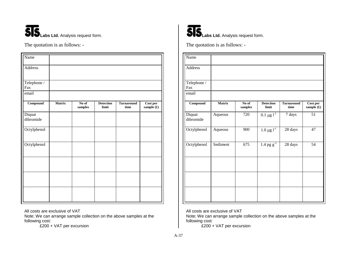

The quotation is as follows: -

| Name                |               |                                                   |                           |                           |                                      |
|---------------------|---------------|---------------------------------------------------|---------------------------|---------------------------|--------------------------------------|
| Address             |               |                                                   |                           |                           |                                      |
| Telephone /<br>Fax  |               |                                                   |                           |                           |                                      |
| email               |               |                                                   |                           |                           |                                      |
| Compound            | <b>Matrix</b> | No of<br>$\ensuremath{\textbf{\textbf{samples}}}$ | <b>Detection</b><br>limit | <b>Turnaround</b><br>time | Cost per<br>sample $(\pmb{\pounds})$ |
| Diquat<br>dibromide |               |                                                   |                           |                           |                                      |
| Octylphenol         |               |                                                   |                           |                           |                                      |
| Octylphenol         |               |                                                   |                           |                           |                                      |
|                     |               |                                                   |                           |                           |                                      |
|                     |               |                                                   |                           |                           |                                      |
|                     |               |                                                   |                           |                           |                                      |

All costs are exclusive of VAT

Note; We can arrange sample collection on the above samples at the following cost:

£200 + VAT per excursion



**SIS** Labs Ltd. Analysis request form.

The quotation is as follows: -

| Name                |               |                                      |                           |                           |                          |
|---------------------|---------------|--------------------------------------|---------------------------|---------------------------|--------------------------|
| Address             |               |                                      |                           |                           |                          |
| Telephone /<br>Fax  |               |                                      |                           |                           |                          |
| email               |               |                                      |                           |                           |                          |
| $Compound$          | <b>Matrix</b> | $\overline{\text{No of}}$<br>samples | <b>Detection</b><br>limit | <b>Turnaround</b><br>time | Cost per<br>sample $(f)$ |
| Diquat<br>dibromide | Aqueous       | 720                                  | $0.1 \,\mu g \, 1^{-1}$   | 7 days                    | 51                       |
| Octylphenol         | Aqueous       | 900                                  | $1.0 \,\mu g \,l^{-1}$    | 28 days                   | 47                       |
| Octylphenol         | Sediment      | 675                                  | $1.4$ pg $g^{-1}$         | 28 days                   | $\overline{54}$          |
|                     |               |                                      |                           |                           |                          |
|                     |               |                                      |                           |                           |                          |
|                     |               |                                      |                           |                           |                          |

All costs are exclusive of VAT

Note; We can arrange sample collection on the above samples at the following cost:

£200 + VAT per excursion